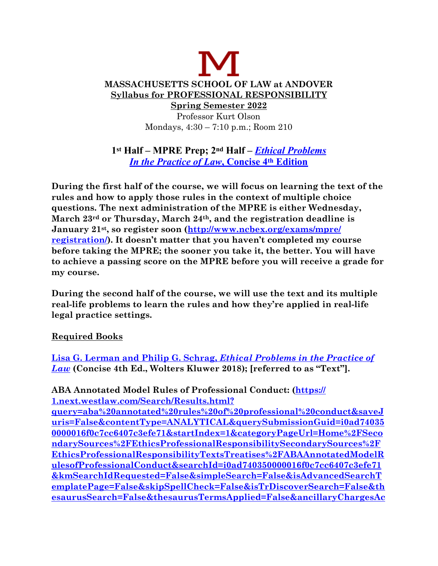# **MASSACHUSETTS SCHOOL OF LAW at ANDOVER Syllabus for PROFESSIONAL RESPONSIBILITY Spring Semester 2022** Professor Kurt Olson Mondays, 4:30 – 7:10 p.m.; Room 210

**1st Half – MPRE Prep; 2nd Half –** *[Ethical Problems](https://www.aspenpublishing.com/Bundle-Lerman-4concise-CQ) [In the Practice of Law](https://www.aspenpublishing.com/Bundle-Lerman-4concise-CQ)***, Concise 4th Edition**

**During the first half of the course, we will focus on learning the text of the rules and how to apply those rules in the context of multiple choice questions. The next administration of the MPRE is either Wednesday, March 23rd or Thursday, March 24th, and the registration deadline is January 21st, so register soon [\(http://www.ncbex.org/exams/mpre/](http://www.ncbex.org/exams/mpre/registration/) [registration/\)](http://www.ncbex.org/exams/mpre/registration/). It doesn't matter that you haven't completed my course before taking the MPRE; the sooner you take it, the better. You will have to achieve a passing score on the MPRE before you will receive a grade for my course.** 

**During the second half of the course, we will use the text and its multiple real-life problems to learn the rules and how they're applied in real-life legal practice settings.** 

#### **Required Books**

**[Lisa G. Lerman and Philip G. Schrag,](https://www.aspenpublishing.com/Bundle-Lerman-4concise-CQ)** *Ethical Problems in the Practice of [Law](https://www.aspenpublishing.com/Bundle-Lerman-4concise-CQ)* **(Concise 4th Ed., Wolters Kluwer 2018); [referred to as "Text"].** 

**ABA Annotated Model Rules of Professional Conduct: ([https://](https://1.next.westlaw.com/Search/Results.html?query=aba%2520annotated%2520rules%2520of%2520professional%2520conduct&saveJuris=False&contentType=ANALYTICAL&querySubmissionGuid=i0ad740350000016f0c7cc6407c3efe71&startIndex=1&categoryPageUrl=Home%252FSecondarySources%252FEthicsProfessionalResponsibilitySecondarySources%252FEthicsProfessionalResponsibilityTextsTreatises%252FABAAnnotatedModelRulesofProfessionalConduct&searchId=i0ad740350000016f0c7cc6407c3efe71&kmSearchIdRequested=False&simpleSearch=False&isAdvancedSearchTemplatePage=False&skipSpellCheck=False&isTrDiscoverSearch=False&thesaurusSearch=False&thesaurusTermsApplied=False&ancillaryChargesAccepted=False&proviewEligible=False&eventingTypeOfSearch=NAT&transitionType=Search&contextData=%2528sc.Search%2529) [1.next.westlaw.com/Search/Results.html?](https://1.next.westlaw.com/Search/Results.html?query=aba%2520annotated%2520rules%2520of%2520professional%2520conduct&saveJuris=False&contentType=ANALYTICAL&querySubmissionGuid=i0ad740350000016f0c7cc6407c3efe71&startIndex=1&categoryPageUrl=Home%252FSecondarySources%252FEthicsProfessionalResponsibilitySecondarySources%252FEthicsProfessionalResponsibilityTextsTreatises%252FABAAnnotatedModelRulesofProfessionalConduct&searchId=i0ad740350000016f0c7cc6407c3efe71&kmSearchIdRequested=False&simpleSearch=False&isAdvancedSearchTemplatePage=False&skipSpellCheck=False&isTrDiscoverSearch=False&thesaurusSearch=False&thesaurusTermsApplied=False&ancillaryChargesAccepted=False&proviewEligible=False&eventingTypeOfSearch=NAT&transitionType=Search&contextData=%2528sc.Search%2529)**

**[query=aba%20annotated%20rules%20of%20professional%20conduct&saveJ](https://1.next.westlaw.com/Search/Results.html?query=aba%2520annotated%2520rules%2520of%2520professional%2520conduct&saveJuris=False&contentType=ANALYTICAL&querySubmissionGuid=i0ad740350000016f0c7cc6407c3efe71&startIndex=1&categoryPageUrl=Home%252FSecondarySources%252FEthicsProfessionalResponsibilitySecondarySources%252FEthicsProfessionalResponsibilityTextsTreatises%252FABAAnnotatedModelRulesofProfessionalConduct&searchId=i0ad740350000016f0c7cc6407c3efe71&kmSearchIdRequested=False&simpleSearch=False&isAdvancedSearchTemplatePage=False&skipSpellCheck=False&isTrDiscoverSearch=False&thesaurusSearch=False&thesaurusTermsApplied=False&ancillaryChargesAccepted=False&proviewEligible=False&eventingTypeOfSearch=NAT&transitionType=Search&contextData=%2528sc.Search%2529) [uris=False&contentType=ANALYTICAL&querySubmissionGuid=i0ad74035](https://1.next.westlaw.com/Search/Results.html?query=aba%2520annotated%2520rules%2520of%2520professional%2520conduct&saveJuris=False&contentType=ANALYTICAL&querySubmissionGuid=i0ad740350000016f0c7cc6407c3efe71&startIndex=1&categoryPageUrl=Home%252FSecondarySources%252FEthicsProfessionalResponsibilitySecondarySources%252FEthicsProfessionalResponsibilityTextsTreatises%252FABAAnnotatedModelRulesofProfessionalConduct&searchId=i0ad740350000016f0c7cc6407c3efe71&kmSearchIdRequested=False&simpleSearch=False&isAdvancedSearchTemplatePage=False&skipSpellCheck=False&isTrDiscoverSearch=False&thesaurusSearch=False&thesaurusTermsApplied=False&ancillaryChargesAccepted=False&proviewEligible=False&eventingTypeOfSearch=NAT&transitionType=Search&contextData=%2528sc.Search%2529) [0000016f0c7cc6407c3efe71&startIndex=1&categoryPageUrl=Home%2FSeco](https://1.next.westlaw.com/Search/Results.html?query=aba%2520annotated%2520rules%2520of%2520professional%2520conduct&saveJuris=False&contentType=ANALYTICAL&querySubmissionGuid=i0ad740350000016f0c7cc6407c3efe71&startIndex=1&categoryPageUrl=Home%252FSecondarySources%252FEthicsProfessionalResponsibilitySecondarySources%252FEthicsProfessionalResponsibilityTextsTreatises%252FABAAnnotatedModelRulesofProfessionalConduct&searchId=i0ad740350000016f0c7cc6407c3efe71&kmSearchIdRequested=False&simpleSearch=False&isAdvancedSearchTemplatePage=False&skipSpellCheck=False&isTrDiscoverSearch=False&thesaurusSearch=False&thesaurusTermsApplied=False&ancillaryChargesAccepted=False&proviewEligible=False&eventingTypeOfSearch=NAT&transitionType=Search&contextData=%2528sc.Search%2529) [ndarySources%2FEthicsProfessionalResponsibilitySecondarySources%2F](https://1.next.westlaw.com/Search/Results.html?query=aba%2520annotated%2520rules%2520of%2520professional%2520conduct&saveJuris=False&contentType=ANALYTICAL&querySubmissionGuid=i0ad740350000016f0c7cc6407c3efe71&startIndex=1&categoryPageUrl=Home%252FSecondarySources%252FEthicsProfessionalResponsibilitySecondarySources%252FEthicsProfessionalResponsibilityTextsTreatises%252FABAAnnotatedModelRulesofProfessionalConduct&searchId=i0ad740350000016f0c7cc6407c3efe71&kmSearchIdRequested=False&simpleSearch=False&isAdvancedSearchTemplatePage=False&skipSpellCheck=False&isTrDiscoverSearch=False&thesaurusSearch=False&thesaurusTermsApplied=False&ancillaryChargesAccepted=False&proviewEligible=False&eventingTypeOfSearch=NAT&transitionType=Search&contextData=%2528sc.Search%2529) [EthicsProfessionalResponsibilityTextsTreatises%2FABAAnnotatedModelR](https://1.next.westlaw.com/Search/Results.html?query=aba%2520annotated%2520rules%2520of%2520professional%2520conduct&saveJuris=False&contentType=ANALYTICAL&querySubmissionGuid=i0ad740350000016f0c7cc6407c3efe71&startIndex=1&categoryPageUrl=Home%252FSecondarySources%252FEthicsProfessionalResponsibilitySecondarySources%252FEthicsProfessionalResponsibilityTextsTreatises%252FABAAnnotatedModelRulesofProfessionalConduct&searchId=i0ad740350000016f0c7cc6407c3efe71&kmSearchIdRequested=False&simpleSearch=False&isAdvancedSearchTemplatePage=False&skipSpellCheck=False&isTrDiscoverSearch=False&thesaurusSearch=False&thesaurusTermsApplied=False&ancillaryChargesAccepted=False&proviewEligible=False&eventingTypeOfSearch=NAT&transitionType=Search&contextData=%2528sc.Search%2529) [ulesofProfessionalConduct&searchId=i0ad740350000016f0c7cc6407c3efe71](https://1.next.westlaw.com/Search/Results.html?query=aba%2520annotated%2520rules%2520of%2520professional%2520conduct&saveJuris=False&contentType=ANALYTICAL&querySubmissionGuid=i0ad740350000016f0c7cc6407c3efe71&startIndex=1&categoryPageUrl=Home%252FSecondarySources%252FEthicsProfessionalResponsibilitySecondarySources%252FEthicsProfessionalResponsibilityTextsTreatises%252FABAAnnotatedModelRulesofProfessionalConduct&searchId=i0ad740350000016f0c7cc6407c3efe71&kmSearchIdRequested=False&simpleSearch=False&isAdvancedSearchTemplatePage=False&skipSpellCheck=False&isTrDiscoverSearch=False&thesaurusSearch=False&thesaurusTermsApplied=False&ancillaryChargesAccepted=False&proviewEligible=False&eventingTypeOfSearch=NAT&transitionType=Search&contextData=%2528sc.Search%2529) [&kmSearchIdRequested=False&simpleSearch=False&isAdvancedSearchT](https://1.next.westlaw.com/Search/Results.html?query=aba%2520annotated%2520rules%2520of%2520professional%2520conduct&saveJuris=False&contentType=ANALYTICAL&querySubmissionGuid=i0ad740350000016f0c7cc6407c3efe71&startIndex=1&categoryPageUrl=Home%252FSecondarySources%252FEthicsProfessionalResponsibilitySecondarySources%252FEthicsProfessionalResponsibilityTextsTreatises%252FABAAnnotatedModelRulesofProfessionalConduct&searchId=i0ad740350000016f0c7cc6407c3efe71&kmSearchIdRequested=False&simpleSearch=False&isAdvancedSearchTemplatePage=False&skipSpellCheck=False&isTrDiscoverSearch=False&thesaurusSearch=False&thesaurusTermsApplied=False&ancillaryChargesAccepted=False&proviewEligible=False&eventingTypeOfSearch=NAT&transitionType=Search&contextData=%2528sc.Search%2529) [emplatePage=False&skipSpellCheck=False&isTrDiscoverSearch=False&th](https://1.next.westlaw.com/Search/Results.html?query=aba%2520annotated%2520rules%2520of%2520professional%2520conduct&saveJuris=False&contentType=ANALYTICAL&querySubmissionGuid=i0ad740350000016f0c7cc6407c3efe71&startIndex=1&categoryPageUrl=Home%252FSecondarySources%252FEthicsProfessionalResponsibilitySecondarySources%252FEthicsProfessionalResponsibilityTextsTreatises%252FABAAnnotatedModelRulesofProfessionalConduct&searchId=i0ad740350000016f0c7cc6407c3efe71&kmSearchIdRequested=False&simpleSearch=False&isAdvancedSearchTemplatePage=False&skipSpellCheck=False&isTrDiscoverSearch=False&thesaurusSearch=False&thesaurusTermsApplied=False&ancillaryChargesAccepted=False&proviewEligible=False&eventingTypeOfSearch=NAT&transitionType=Search&contextData=%2528sc.Search%2529) [esaurusSearch=False&thesaurusTermsApplied=False&ancillaryChargesAc](https://1.next.westlaw.com/Search/Results.html?query=aba%2520annotated%2520rules%2520of%2520professional%2520conduct&saveJuris=False&contentType=ANALYTICAL&querySubmissionGuid=i0ad740350000016f0c7cc6407c3efe71&startIndex=1&categoryPageUrl=Home%252FSecondarySources%252FEthicsProfessionalResponsibilitySecondarySources%252FEthicsProfessionalResponsibilityTextsTreatises%252FABAAnnotatedModelRulesofProfessionalConduct&searchId=i0ad740350000016f0c7cc6407c3efe71&kmSearchIdRequested=False&simpleSearch=False&isAdvancedSearchTemplatePage=False&skipSpellCheck=False&isTrDiscoverSearch=False&thesaurusSearch=False&thesaurusTermsApplied=False&ancillaryChargesAccepted=False&proviewEligible=False&eventingTypeOfSearch=NAT&transitionType=Search&contextData=%2528sc.Search%2529)**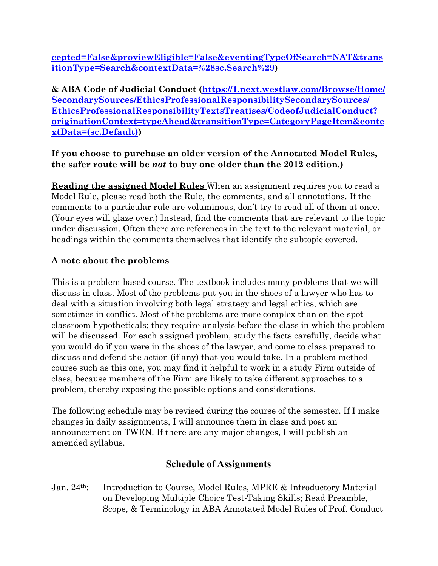**[cepted=False&proviewEligible=False&eventingTypeOfSearch=NAT&trans](https://1.next.westlaw.com/Search/Results.html?query=aba%2520annotated%2520rules%2520of%2520professional%2520conduct&saveJuris=False&contentType=ANALYTICAL&querySubmissionGuid=i0ad740350000016f0c7cc6407c3efe71&startIndex=1&categoryPageUrl=Home%252FSecondarySources%252FEthicsProfessionalResponsibilitySecondarySources%252FEthicsProfessionalResponsibilityTextsTreatises%252FABAAnnotatedModelRulesofProfessionalConduct&searchId=i0ad740350000016f0c7cc6407c3efe71&kmSearchIdRequested=False&simpleSearch=False&isAdvancedSearchTemplatePage=False&skipSpellCheck=False&isTrDiscoverSearch=False&thesaurusSearch=False&thesaurusTermsApplied=False&ancillaryChargesAccepted=False&proviewEligible=False&eventingTypeOfSearch=NAT&transitionType=Search&contextData=%2528sc.Search%2529) [itionType=Search&contextData=%28sc.Search%29\)](https://1.next.westlaw.com/Search/Results.html?query=aba%2520annotated%2520rules%2520of%2520professional%2520conduct&saveJuris=False&contentType=ANALYTICAL&querySubmissionGuid=i0ad740350000016f0c7cc6407c3efe71&startIndex=1&categoryPageUrl=Home%252FSecondarySources%252FEthicsProfessionalResponsibilitySecondarySources%252FEthicsProfessionalResponsibilityTextsTreatises%252FABAAnnotatedModelRulesofProfessionalConduct&searchId=i0ad740350000016f0c7cc6407c3efe71&kmSearchIdRequested=False&simpleSearch=False&isAdvancedSearchTemplatePage=False&skipSpellCheck=False&isTrDiscoverSearch=False&thesaurusSearch=False&thesaurusTermsApplied=False&ancillaryChargesAccepted=False&proviewEligible=False&eventingTypeOfSearch=NAT&transitionType=Search&contextData=%2528sc.Search%2529)**

**& ABA Code of Judicial Conduct ([https://1.next.westlaw.com/Browse/Home/](https://1.next.westlaw.com/Browse/Home/SecondarySources/EthicsProfessionalResponsibilitySecondarySources/EthicsProfessionalResponsibilityTextsTreatises/CodeofJudicialConduct?originationContext=typeAhead&transitionType=CategoryPageItem&contextData=(sc.Default)) [SecondarySources/EthicsProfessionalResponsibilitySecondarySources/](https://1.next.westlaw.com/Browse/Home/SecondarySources/EthicsProfessionalResponsibilitySecondarySources/EthicsProfessionalResponsibilityTextsTreatises/CodeofJudicialConduct?originationContext=typeAhead&transitionType=CategoryPageItem&contextData=(sc.Default)) [EthicsProfessionalResponsibilityTextsTreatises/CodeofJudicialConduct?](https://1.next.westlaw.com/Browse/Home/SecondarySources/EthicsProfessionalResponsibilitySecondarySources/EthicsProfessionalResponsibilityTextsTreatises/CodeofJudicialConduct?originationContext=typeAhead&transitionType=CategoryPageItem&contextData=(sc.Default)) [originationContext=typeAhead&transitionType=CategoryPageItem&conte](https://1.next.westlaw.com/Browse/Home/SecondarySources/EthicsProfessionalResponsibilitySecondarySources/EthicsProfessionalResponsibilityTextsTreatises/CodeofJudicialConduct?originationContext=typeAhead&transitionType=CategoryPageItem&contextData=(sc.Default)) [xtData=\(sc.Default\)](https://1.next.westlaw.com/Browse/Home/SecondarySources/EthicsProfessionalResponsibilitySecondarySources/EthicsProfessionalResponsibilityTextsTreatises/CodeofJudicialConduct?originationContext=typeAhead&transitionType=CategoryPageItem&contextData=(sc.Default)))**

#### **If you choose to purchase an older version of the Annotated Model Rules, the safer route will be** *not* **to buy one older than the 2012 edition.)**

**Reading the assigned Model Rules** When an assignment requires you to read a Model Rule, please read both the Rule, the comments, and all annotations. If the comments to a particular rule are voluminous, don't try to read all of them at once. (Your eyes will glaze over.) Instead, find the comments that are relevant to the topic under discussion. Often there are references in the text to the relevant material, or headings within the comments themselves that identify the subtopic covered.

#### **A note about the problems**

This is a problem-based course. The textbook includes many problems that we will discuss in class. Most of the problems put you in the shoes of a lawyer who has to deal with a situation involving both legal strategy and legal ethics, which are sometimes in conflict. Most of the problems are more complex than on-the-spot classroom hypotheticals; they require analysis before the class in which the problem will be discussed. For each assigned problem, study the facts carefully, decide what you would do if you were in the shoes of the lawyer, and come to class prepared to discuss and defend the action (if any) that you would take. In a problem method course such as this one, you may find it helpful to work in a study Firm outside of class, because members of the Firm are likely to take different approaches to a problem, thereby exposing the possible options and considerations.

The following schedule may be revised during the course of the semester. If I make changes in daily assignments, I will announce them in class and post an announcement on TWEN. If there are any major changes, I will publish an amended syllabus.

# **Schedule of Assignments**

Jan. 24th: Introduction to Course, Model Rules, MPRE & Introductory Material on Developing Multiple Choice Test-Taking Skills; Read Preamble, Scope, & Terminology in ABA Annotated Model Rules of Prof. Conduct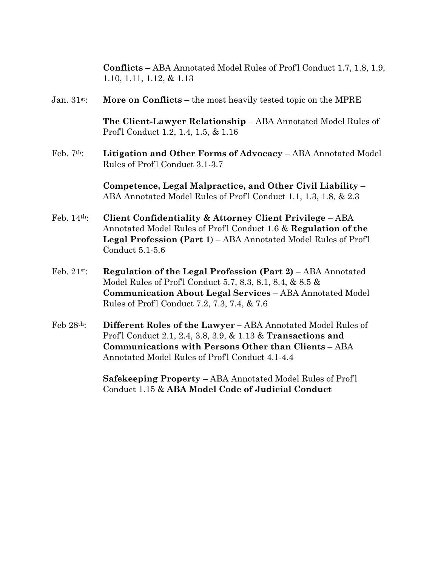|               | <b>Conflicts</b> – ABA Annotated Model Rules of Prof1 Conduct 1.7, 1.8, 1.9,<br>$1.10, 1.11, 1.12, \& 1.13$                                                                                                                            |
|---------------|----------------------------------------------------------------------------------------------------------------------------------------------------------------------------------------------------------------------------------------|
| Jan. 31st:    | More on Conflicts – the most heavily tested topic on the MPRE                                                                                                                                                                          |
|               | The Client-Lawyer Relationship - ABA Annotated Model Rules of<br>Prof'l Conduct 1.2, 1.4, 1.5, & 1.16                                                                                                                                  |
| Feb. $7th$ :  | Litigation and Other Forms of Advocacy – ABA Annotated Model<br>Rules of Prof'l Conduct 3.1-3.7                                                                                                                                        |
|               | Competence, Legal Malpractice, and Other Civil Liability –<br>ABA Annotated Model Rules of Prof'l Conduct 1.1, 1.3, 1.8, & 2.3                                                                                                         |
| Feb. 14th:    | Client Confidentiality & Attorney Client Privilege - ABA<br>Annotated Model Rules of Prof'l Conduct 1.6 & Regulation of the<br>Legal Profession (Part 1) - ABA Annotated Model Rules of Profl<br>Conduct 5.1-5.6                       |
| Feb. $21st$ : | Regulation of the Legal Profession (Part 2) - ABA Annotated<br>Model Rules of Prof'l Conduct 5.7, 8.3, 8.1, 8.4, & 8.5 &<br>Communication About Legal Services - ABA Annotated Model<br>Rules of Prof1 Conduct 7.2, 7.3, 7.4, & 7.6    |
| Feb 28th:     | Different Roles of the Lawyer - ABA Annotated Model Rules of<br>Prof1 Conduct 2.1, 2.4, 3.8, 3.9, & 1.13 & Transactions and<br>Communications with Persons Other than Clients - ABA<br>Annotated Model Rules of Prof'l Conduct 4.1-4.4 |
|               | <b>Safekeeping Property</b> – ABA Annotated Model Rules of Prof'l<br>Conduct 1.15 & ABA Model Code of Judicial Conduct                                                                                                                 |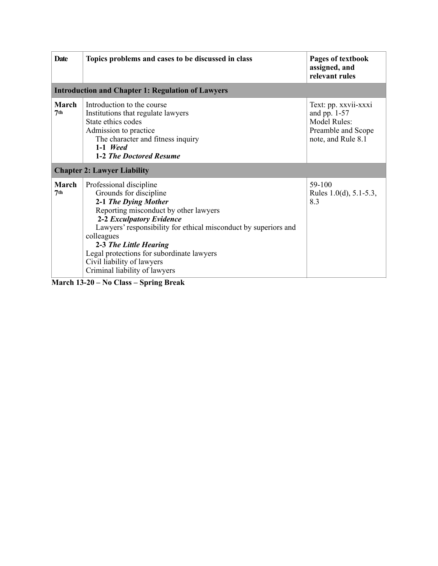| <b>Date</b>                        | Topics problems and cases to be discussed in class                                                                                                                                                                                                                                                                                                                    | Pages of textbook<br>assigned, and<br>relevant rules                                               |  |  |
|------------------------------------|-----------------------------------------------------------------------------------------------------------------------------------------------------------------------------------------------------------------------------------------------------------------------------------------------------------------------------------------------------------------------|----------------------------------------------------------------------------------------------------|--|--|
|                                    | <b>Introduction and Chapter 1: Regulation of Lawyers</b>                                                                                                                                                                                                                                                                                                              |                                                                                                    |  |  |
| <b>March</b><br>7 <sup>th</sup>    | Introduction to the course<br>Institutions that regulate lawyers<br>State ethics codes<br>Admission to practice<br>The character and fitness inquiry<br>$1-1$ Weed<br>1-2 The Doctored Resume                                                                                                                                                                         | Text: pp. xxvii-xxxi<br>and pp. $1-57$<br>Model Rules:<br>Preamble and Scope<br>note, and Rule 8.1 |  |  |
| <b>Chapter 2: Lawyer Liability</b> |                                                                                                                                                                                                                                                                                                                                                                       |                                                                                                    |  |  |
| March<br>7 <sup>th</sup>           | Professional discipline<br>Grounds for discipline<br>2-1 The Dying Mother<br>Reporting misconduct by other lawyers<br>2-2 Exculpatory Evidence<br>Lawyers' responsibility for ethical misconduct by superiors and<br>colleagues<br>2-3 The Little Hearing<br>Legal protections for subordinate lawyers<br>Civil liability of lawyers<br>Criminal liability of lawyers | 59-100<br>Rules 1.0(d), $5.1 - 5.3$ ,<br>8.3                                                       |  |  |

**March 13-20 – No Class – Spring Break**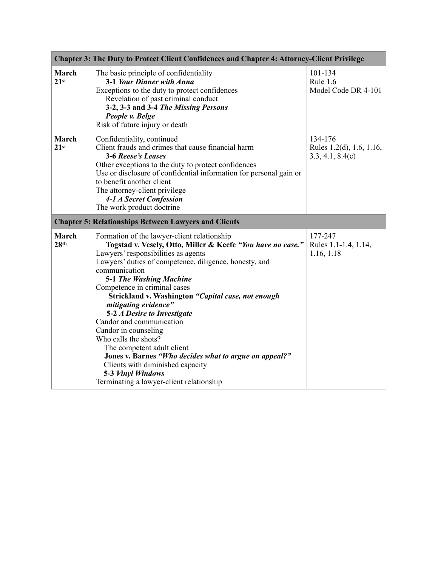| <b>Chapter 3: The Duty to Protect Client Confidences and Chapter 4: Attorney-Client Privilege</b> |                                                                                                                                                                                                                                                                                                                                                                                                                                                                                                                                                                                                                                                                               |                                                         |  |
|---------------------------------------------------------------------------------------------------|-------------------------------------------------------------------------------------------------------------------------------------------------------------------------------------------------------------------------------------------------------------------------------------------------------------------------------------------------------------------------------------------------------------------------------------------------------------------------------------------------------------------------------------------------------------------------------------------------------------------------------------------------------------------------------|---------------------------------------------------------|--|
| <b>March</b><br>21 <sup>st</sup>                                                                  | The basic principle of confidentiality<br>3-1 Your Dinner with Anna<br>Exceptions to the duty to protect confidences<br>Revelation of past criminal conduct<br>3-2, 3-3 and 3-4 The Missing Persons<br>People v. Belge<br>Risk of future injury or death                                                                                                                                                                                                                                                                                                                                                                                                                      | 101-134<br>Rule $1.6$<br>Model Code DR 4-101            |  |
| March<br>21st                                                                                     | Confidentiality, continued<br>Client frauds and crimes that cause financial harm<br>3-6 Reese's Leases<br>Other exceptions to the duty to protect confidences<br>Use or disclosure of confidential information for personal gain or<br>to benefit another client<br>The attorney-client privilege<br>4-1 A Secret Confession<br>The work product doctrine                                                                                                                                                                                                                                                                                                                     | 134-176<br>Rules 1.2(d), 1.6, 1.16,<br>3.3, 4.1, 8.4(c) |  |
| <b>Chapter 5: Relationships Between Lawyers and Clients</b>                                       |                                                                                                                                                                                                                                                                                                                                                                                                                                                                                                                                                                                                                                                                               |                                                         |  |
| <b>March</b><br>28 <sup>th</sup>                                                                  | Formation of the lawyer-client relationship<br>Togstad v. Vesely, Otto, Miller & Keefe "You have no case."<br>Lawyers' responsibilities as agents<br>Lawyers' duties of competence, diligence, honesty, and<br>communication<br>5-1 The Washing Machine<br>Competence in criminal cases<br>Strickland v. Washington "Capital case, not enough<br>mitigating evidence"<br>5-2 A Desire to Investigate<br>Candor and communication<br>Candor in counseling<br>Who calls the shots?<br>The competent adult client<br>Jones v. Barnes "Who decides what to argue on appeal?"<br>Clients with diminished capacity<br>5-3 Vinyl Windows<br>Terminating a lawyer-client relationship | 177-247<br>Rules 1.1-1.4, 1.14,<br>1.16, 1.18           |  |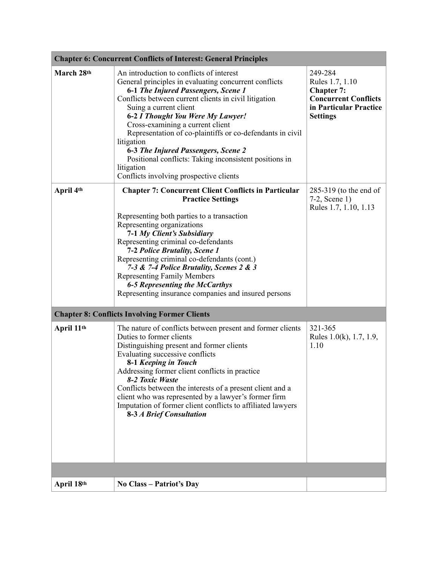| <b>Chapter 6: Concurrent Conflicts of Interest: General Principles</b> |                                                                                                                                                                                                                                                                                                                                                                                                                                                                                                                                           |                                                                                                                             |  |
|------------------------------------------------------------------------|-------------------------------------------------------------------------------------------------------------------------------------------------------------------------------------------------------------------------------------------------------------------------------------------------------------------------------------------------------------------------------------------------------------------------------------------------------------------------------------------------------------------------------------------|-----------------------------------------------------------------------------------------------------------------------------|--|
| March 28th                                                             | An introduction to conflicts of interest<br>General principles in evaluating concurrent conflicts<br>6-1 The Injured Passengers, Scene 1<br>Conflicts between current clients in civil litigation<br>Suing a current client<br>6-2 I Thought You Were My Lawyer!<br>Cross-examining a current client<br>Representation of co-plaintiffs or co-defendants in civil<br>litigation<br>6-3 The Injured Passengers, Scene 2<br>Positional conflicts: Taking inconsistent positions in<br>litigation<br>Conflicts involving prospective clients | 249-284<br>Rules 1.7, 1.10<br><b>Chapter 7:</b><br><b>Concurrent Conflicts</b><br>in Particular Practice<br><b>Settings</b> |  |
| April 4th                                                              | <b>Chapter 7: Concurrent Client Conflicts in Particular</b><br><b>Practice Settings</b><br>Representing both parties to a transaction<br>Representing organizations<br>7-1 My Client's Subsidiary<br>Representing criminal co-defendants<br><b>7-2 Police Brutality, Scene 1</b><br>Representing criminal co-defendants (cont.)<br>7-3 & 7-4 Police Brutality, Scenes 2 & 3<br><b>Representing Family Members</b><br><b>6-5 Representing the McCarthys</b><br>Representing insurance companies and insured persons                        | $285-319$ (to the end of<br>$7-2$ , Scene 1)<br>Rules 1.7, 1.10, 1.13                                                       |  |
|                                                                        | <b>Chapter 8: Conflicts Involving Former Clients</b>                                                                                                                                                                                                                                                                                                                                                                                                                                                                                      |                                                                                                                             |  |
| April 11th                                                             | The nature of conflicts between present and former clients<br>Duties to former clients<br>Distinguishing present and former clients<br>Evaluating successive conflicts<br>8-1 Keeping in Touch<br>Addressing former client conflicts in practice<br>8-2 Toxic Waste<br>Conflicts between the interests of a present client and a<br>client who was represented by a lawyer's former firm<br>Imputation of former client conflicts to affiliated lawyers<br><b>8-3 A Brief Consultation</b>                                                | 321-365<br>Rules 1.0(k), 1.7, 1.9,<br>1.10                                                                                  |  |
|                                                                        |                                                                                                                                                                                                                                                                                                                                                                                                                                                                                                                                           |                                                                                                                             |  |
| April 18th                                                             | <b>No Class – Patriot's Day</b>                                                                                                                                                                                                                                                                                                                                                                                                                                                                                                           |                                                                                                                             |  |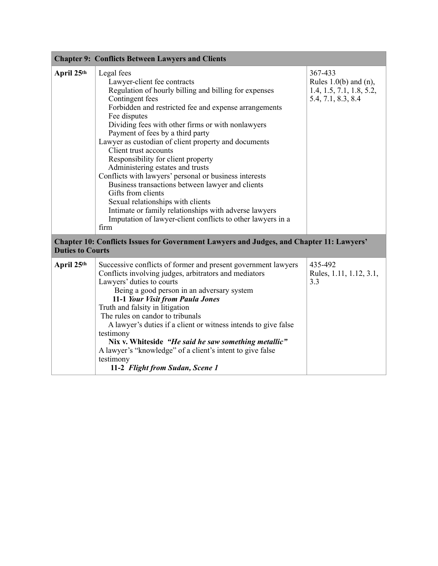| <b>Chapter 9: Conflicts Between Lawyers and Clients</b>                                                             |                                                                                                                                                                                                                                                                                                                                                                                                                                                                                                                                                                                                                                                                                                                                                             |                                                                                         |  |
|---------------------------------------------------------------------------------------------------------------------|-------------------------------------------------------------------------------------------------------------------------------------------------------------------------------------------------------------------------------------------------------------------------------------------------------------------------------------------------------------------------------------------------------------------------------------------------------------------------------------------------------------------------------------------------------------------------------------------------------------------------------------------------------------------------------------------------------------------------------------------------------------|-----------------------------------------------------------------------------------------|--|
| April 25th                                                                                                          | Legal fees<br>Lawyer-client fee contracts<br>Regulation of hourly billing and billing for expenses<br>Contingent fees<br>Forbidden and restricted fee and expense arrangements<br>Fee disputes<br>Dividing fees with other firms or with nonlawyers<br>Payment of fees by a third party<br>Lawyer as custodian of client property and documents<br>Client trust accounts<br>Responsibility for client property<br>Administering estates and trusts<br>Conflicts with lawyers' personal or business interests<br>Business transactions between lawyer and clients<br>Gifts from clients<br>Sexual relationships with clients<br>Intimate or family relationships with adverse lawyers<br>Imputation of lawyer-client conflicts to other lawyers in a<br>firm | 367-433<br>Rules $1.0(b)$ and $(n)$ ,<br>1.4, 1.5, 7.1, 1.8, 5.2,<br>5.4, 7.1, 8.3, 8.4 |  |
| Chapter 10: Conflicts Issues for Government Lawyers and Judges, and Chapter 11: Lawyers'<br><b>Duties to Courts</b> |                                                                                                                                                                                                                                                                                                                                                                                                                                                                                                                                                                                                                                                                                                                                                             |                                                                                         |  |
| April 25th                                                                                                          | Successive conflicts of former and present government lawyers<br>Conflicts involving judges, arbitrators and mediators<br>Lawyers' duties to courts<br>Being a good person in an adversary system<br>11-1 Your Visit from Paula Jones<br>Truth and falsity in litigation<br>The rules on candor to tribunals<br>A lawyer's duties if a client or witness intends to give false<br>testimony<br>Nix v. Whiteside "He said he saw something metallic"<br>A lawyer's "knowledge" of a client's intent to give false<br>testimony<br>11-2 Flight from Sudan, Scene 1                                                                                                                                                                                            | 435-492<br>Rules, 1.11, 1.12, 3.1,<br>3.3                                               |  |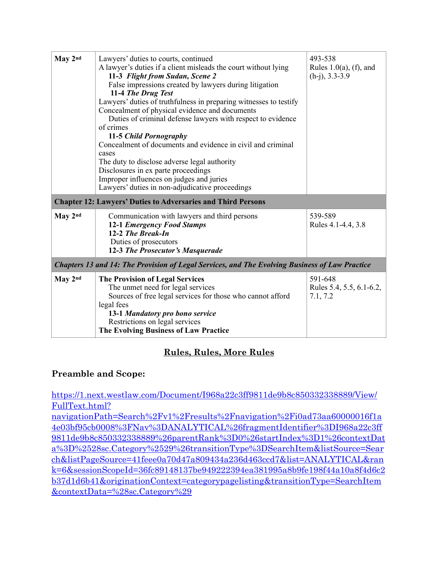| May 2nd                                                                                        | Lawyers' duties to courts, continued<br>A lawyer's duties if a client misleads the court without lying<br>11-3 Flight from Sudan, Scene 2<br>False impressions created by lawyers during litigation<br>11-4 The Drug Test<br>Lawyers' duties of truthfulness in preparing witnesses to testify<br>Concealment of physical evidence and documents<br>Duties of criminal defense lawyers with respect to evidence<br>of crimes<br>11-5 Child Pornography<br>Concealment of documents and evidence in civil and criminal<br>cases<br>The duty to disclose adverse legal authority<br>Disclosures in ex parte proceedings<br>Improper influences on judges and juries<br>Lawyers' duties in non-adjudicative proceedings | 493-538<br>Rules $1.0(a)$ , (f), and<br>$(h-i)$ , 3.3-3.9 |
|------------------------------------------------------------------------------------------------|----------------------------------------------------------------------------------------------------------------------------------------------------------------------------------------------------------------------------------------------------------------------------------------------------------------------------------------------------------------------------------------------------------------------------------------------------------------------------------------------------------------------------------------------------------------------------------------------------------------------------------------------------------------------------------------------------------------------|-----------------------------------------------------------|
| May 2nd                                                                                        | <b>Chapter 12: Lawyers' Duties to Adversaries and Third Persons</b><br>Communication with lawyers and third persons<br><b>12-1 Emergency Food Stamps</b><br>12-2 The Break-In<br>Duties of prosecutors<br>12-3 The Prosecutor's Masquerade                                                                                                                                                                                                                                                                                                                                                                                                                                                                           | 539-589<br>Rules 4.1-4.4, 3.8                             |
| Chapters 13 and 14: The Provision of Legal Services, and The Evolving Business of Law Practice |                                                                                                                                                                                                                                                                                                                                                                                                                                                                                                                                                                                                                                                                                                                      |                                                           |
| May 2nd                                                                                        | <b>The Provision of Legal Services</b><br>The unmet need for legal services<br>Sources of free legal services for those who cannot afford<br>legal fees<br>13-1 Mandatory pro bono service<br>Restrictions on legal services<br>The Evolving Business of Law Practice                                                                                                                                                                                                                                                                                                                                                                                                                                                | 591-648<br>Rules 5.4, 5.5, 6.1-6.2,<br>7.1, 7.2           |

# **Rules, Rules, More Rules**

#### **Preamble and Scope:**

[https://1.next.westlaw.com/Document/I968a22c3ff9811de9b8c850332338889/View/](https://1.next.westlaw.com/Document/I968a22c3ff9811de9b8c850332338889/View/FullText.html?navigationPath=Search%252Fv1%252Fresults%252Fnavigation%252Fi0ad73aa60000016f1a4e03bf95cb0008%253FNav%253DANALYTICAL%2526fragmentIdentifier%253DI968a22c3ff9811de9b8c850332338889%2526parentRank%253D0%2526startIndex%253D1%2526contextData%253D%252528sc.Category%252529%2526transitionType%253DSearchItem&listSource=Search&listPageSource=41feee0a70d47a809434a236d463ccd7&list=ANALYTICAL&rank=6&sessionScopeId=36fc89148137be949222394ea381995a8b9fe198f44a10a8f4d6c2b37d1d6b41&originationContext=categorypagelisting&transitionType=SearchItem&contextData=%2528sc.Category%2529) [FullText.html?](https://1.next.westlaw.com/Document/I968a22c3ff9811de9b8c850332338889/View/FullText.html?navigationPath=Search%252Fv1%252Fresults%252Fnavigation%252Fi0ad73aa60000016f1a4e03bf95cb0008%253FNav%253DANALYTICAL%2526fragmentIdentifier%253DI968a22c3ff9811de9b8c850332338889%2526parentRank%253D0%2526startIndex%253D1%2526contextData%253D%252528sc.Category%252529%2526transitionType%253DSearchItem&listSource=Search&listPageSource=41feee0a70d47a809434a236d463ccd7&list=ANALYTICAL&rank=6&sessionScopeId=36fc89148137be949222394ea381995a8b9fe198f44a10a8f4d6c2b37d1d6b41&originationContext=categorypagelisting&transitionType=SearchItem&contextData=%2528sc.Category%2529)

[navigationPath=Search%2Fv1%2Fresults%2Fnavigation%2Fi0ad73aa60000016f1a](https://1.next.westlaw.com/Document/I968a22c3ff9811de9b8c850332338889/View/FullText.html?navigationPath=Search%252Fv1%252Fresults%252Fnavigation%252Fi0ad73aa60000016f1a4e03bf95cb0008%253FNav%253DANALYTICAL%2526fragmentIdentifier%253DI968a22c3ff9811de9b8c850332338889%2526parentRank%253D0%2526startIndex%253D1%2526contextData%253D%252528sc.Category%252529%2526transitionType%253DSearchItem&listSource=Search&listPageSource=41feee0a70d47a809434a236d463ccd7&list=ANALYTICAL&rank=6&sessionScopeId=36fc89148137be949222394ea381995a8b9fe198f44a10a8f4d6c2b37d1d6b41&originationContext=categorypagelisting&transitionType=SearchItem&contextData=%2528sc.Category%2529) [4e03bf95cb0008%3FNav%3DANALYTICAL%26fragmentIdentifier%3DI968a22c3ff](https://1.next.westlaw.com/Document/I968a22c3ff9811de9b8c850332338889/View/FullText.html?navigationPath=Search%252Fv1%252Fresults%252Fnavigation%252Fi0ad73aa60000016f1a4e03bf95cb0008%253FNav%253DANALYTICAL%2526fragmentIdentifier%253DI968a22c3ff9811de9b8c850332338889%2526parentRank%253D0%2526startIndex%253D1%2526contextData%253D%252528sc.Category%252529%2526transitionType%253DSearchItem&listSource=Search&listPageSource=41feee0a70d47a809434a236d463ccd7&list=ANALYTICAL&rank=6&sessionScopeId=36fc89148137be949222394ea381995a8b9fe198f44a10a8f4d6c2b37d1d6b41&originationContext=categorypagelisting&transitionType=SearchItem&contextData=%2528sc.Category%2529) [9811de9b8c850332338889%26parentRank%3D0%26startIndex%3D1%26contextDat](https://1.next.westlaw.com/Document/I968a22c3ff9811de9b8c850332338889/View/FullText.html?navigationPath=Search%252Fv1%252Fresults%252Fnavigation%252Fi0ad73aa60000016f1a4e03bf95cb0008%253FNav%253DANALYTICAL%2526fragmentIdentifier%253DI968a22c3ff9811de9b8c850332338889%2526parentRank%253D0%2526startIndex%253D1%2526contextData%253D%252528sc.Category%252529%2526transitionType%253DSearchItem&listSource=Search&listPageSource=41feee0a70d47a809434a236d463ccd7&list=ANALYTICAL&rank=6&sessionScopeId=36fc89148137be949222394ea381995a8b9fe198f44a10a8f4d6c2b37d1d6b41&originationContext=categorypagelisting&transitionType=SearchItem&contextData=%2528sc.Category%2529) [a%3D%2528sc.Category%2529%26transitionType%3DSearchItem&listSource=Sear](https://1.next.westlaw.com/Document/I968a22c3ff9811de9b8c850332338889/View/FullText.html?navigationPath=Search%252Fv1%252Fresults%252Fnavigation%252Fi0ad73aa60000016f1a4e03bf95cb0008%253FNav%253DANALYTICAL%2526fragmentIdentifier%253DI968a22c3ff9811de9b8c850332338889%2526parentRank%253D0%2526startIndex%253D1%2526contextData%253D%252528sc.Category%252529%2526transitionType%253DSearchItem&listSource=Search&listPageSource=41feee0a70d47a809434a236d463ccd7&list=ANALYTICAL&rank=6&sessionScopeId=36fc89148137be949222394ea381995a8b9fe198f44a10a8f4d6c2b37d1d6b41&originationContext=categorypagelisting&transitionType=SearchItem&contextData=%2528sc.Category%2529) [ch&listPageSource=41feee0a70d47a809434a236d463ccd7&list=ANALYTICAL&ran](https://1.next.westlaw.com/Document/I968a22c3ff9811de9b8c850332338889/View/FullText.html?navigationPath=Search%252Fv1%252Fresults%252Fnavigation%252Fi0ad73aa60000016f1a4e03bf95cb0008%253FNav%253DANALYTICAL%2526fragmentIdentifier%253DI968a22c3ff9811de9b8c850332338889%2526parentRank%253D0%2526startIndex%253D1%2526contextData%253D%252528sc.Category%252529%2526transitionType%253DSearchItem&listSource=Search&listPageSource=41feee0a70d47a809434a236d463ccd7&list=ANALYTICAL&rank=6&sessionScopeId=36fc89148137be949222394ea381995a8b9fe198f44a10a8f4d6c2b37d1d6b41&originationContext=categorypagelisting&transitionType=SearchItem&contextData=%2528sc.Category%2529) [k=6&sessionScopeId=36fc89148137be949222394ea381995a8b9fe198f44a10a8f4d6c2](https://1.next.westlaw.com/Document/I968a22c3ff9811de9b8c850332338889/View/FullText.html?navigationPath=Search%252Fv1%252Fresults%252Fnavigation%252Fi0ad73aa60000016f1a4e03bf95cb0008%253FNav%253DANALYTICAL%2526fragmentIdentifier%253DI968a22c3ff9811de9b8c850332338889%2526parentRank%253D0%2526startIndex%253D1%2526contextData%253D%252528sc.Category%252529%2526transitionType%253DSearchItem&listSource=Search&listPageSource=41feee0a70d47a809434a236d463ccd7&list=ANALYTICAL&rank=6&sessionScopeId=36fc89148137be949222394ea381995a8b9fe198f44a10a8f4d6c2b37d1d6b41&originationContext=categorypagelisting&transitionType=SearchItem&contextData=%2528sc.Category%2529) [b37d1d6b41&originationContext=categorypagelisting&transitionType=SearchItem](https://1.next.westlaw.com/Document/I968a22c3ff9811de9b8c850332338889/View/FullText.html?navigationPath=Search%252Fv1%252Fresults%252Fnavigation%252Fi0ad73aa60000016f1a4e03bf95cb0008%253FNav%253DANALYTICAL%2526fragmentIdentifier%253DI968a22c3ff9811de9b8c850332338889%2526parentRank%253D0%2526startIndex%253D1%2526contextData%253D%252528sc.Category%252529%2526transitionType%253DSearchItem&listSource=Search&listPageSource=41feee0a70d47a809434a236d463ccd7&list=ANALYTICAL&rank=6&sessionScopeId=36fc89148137be949222394ea381995a8b9fe198f44a10a8f4d6c2b37d1d6b41&originationContext=categorypagelisting&transitionType=SearchItem&contextData=%2528sc.Category%2529) [&contextData=%28sc.Category%29](https://1.next.westlaw.com/Document/I968a22c3ff9811de9b8c850332338889/View/FullText.html?navigationPath=Search%252Fv1%252Fresults%252Fnavigation%252Fi0ad73aa60000016f1a4e03bf95cb0008%253FNav%253DANALYTICAL%2526fragmentIdentifier%253DI968a22c3ff9811de9b8c850332338889%2526parentRank%253D0%2526startIndex%253D1%2526contextData%253D%252528sc.Category%252529%2526transitionType%253DSearchItem&listSource=Search&listPageSource=41feee0a70d47a809434a236d463ccd7&list=ANALYTICAL&rank=6&sessionScopeId=36fc89148137be949222394ea381995a8b9fe198f44a10a8f4d6c2b37d1d6b41&originationContext=categorypagelisting&transitionType=SearchItem&contextData=%2528sc.Category%2529)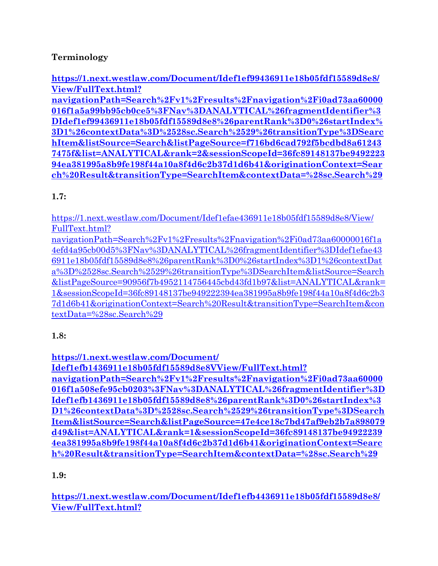# **Terminology**

**[https://1.next.westlaw.com/Document/Idef1ef99436911e18b05fdf15589d8e8/](https://1.next.westlaw.com/Document/Idef1ef99436911e18b05fdf15589d8e8/View/FullText.html?navigationPath=Search%252Fv1%252Fresults%252Fnavigation%252Fi0ad73aa60000016f1a5a99bb95cb0ce5%253FNav%253DANALYTICAL%2526fragmentIdentifier%253DIdef1ef99436911e18b05fdf15589d8e8%2526parentRank%253D0%2526startIndex%253D1%2526contextData%253D%252528sc.Search%252529%2526transitionType%253DSearchItem&listSource=Search&listPageSource=f716bd6cad792f5bcdbd8a612437475f&list=ANALYTICAL&rank=2&sessionScopeId=36fc89148137be949222394ea381995a8b9fe198f44a10a8f4d6c2b37d1d6b41&originationContext=Search%2520Result&transitionType=SearchItem&contextData=%2528sc.Search%2529) [View/FullText.html?](https://1.next.westlaw.com/Document/Idef1ef99436911e18b05fdf15589d8e8/View/FullText.html?navigationPath=Search%252Fv1%252Fresults%252Fnavigation%252Fi0ad73aa60000016f1a5a99bb95cb0ce5%253FNav%253DANALYTICAL%2526fragmentIdentifier%253DIdef1ef99436911e18b05fdf15589d8e8%2526parentRank%253D0%2526startIndex%253D1%2526contextData%253D%252528sc.Search%252529%2526transitionType%253DSearchItem&listSource=Search&listPageSource=f716bd6cad792f5bcdbd8a612437475f&list=ANALYTICAL&rank=2&sessionScopeId=36fc89148137be949222394ea381995a8b9fe198f44a10a8f4d6c2b37d1d6b41&originationContext=Search%2520Result&transitionType=SearchItem&contextData=%2528sc.Search%2529)**

**[navigationPath=Search%2Fv1%2Fresults%2Fnavigation%2Fi0ad73aa60000](https://1.next.westlaw.com/Document/Idef1ef99436911e18b05fdf15589d8e8/View/FullText.html?navigationPath=Search%252Fv1%252Fresults%252Fnavigation%252Fi0ad73aa60000016f1a5a99bb95cb0ce5%253FNav%253DANALYTICAL%2526fragmentIdentifier%253DIdef1ef99436911e18b05fdf15589d8e8%2526parentRank%253D0%2526startIndex%253D1%2526contextData%253D%252528sc.Search%252529%2526transitionType%253DSearchItem&listSource=Search&listPageSource=f716bd6cad792f5bcdbd8a612437475f&list=ANALYTICAL&rank=2&sessionScopeId=36fc89148137be949222394ea381995a8b9fe198f44a10a8f4d6c2b37d1d6b41&originationContext=Search%2520Result&transitionType=SearchItem&contextData=%2528sc.Search%2529) [016f1a5a99bb95cb0ce5%3FNav%3DANALYTICAL%26fragmentIdentifier%3](https://1.next.westlaw.com/Document/Idef1ef99436911e18b05fdf15589d8e8/View/FullText.html?navigationPath=Search%252Fv1%252Fresults%252Fnavigation%252Fi0ad73aa60000016f1a5a99bb95cb0ce5%253FNav%253DANALYTICAL%2526fragmentIdentifier%253DIdef1ef99436911e18b05fdf15589d8e8%2526parentRank%253D0%2526startIndex%253D1%2526contextData%253D%252528sc.Search%252529%2526transitionType%253DSearchItem&listSource=Search&listPageSource=f716bd6cad792f5bcdbd8a612437475f&list=ANALYTICAL&rank=2&sessionScopeId=36fc89148137be949222394ea381995a8b9fe198f44a10a8f4d6c2b37d1d6b41&originationContext=Search%2520Result&transitionType=SearchItem&contextData=%2528sc.Search%2529) [DIdef1ef99436911e18b05fdf15589d8e8%26parentRank%3D0%26startIndex%](https://1.next.westlaw.com/Document/Idef1ef99436911e18b05fdf15589d8e8/View/FullText.html?navigationPath=Search%252Fv1%252Fresults%252Fnavigation%252Fi0ad73aa60000016f1a5a99bb95cb0ce5%253FNav%253DANALYTICAL%2526fragmentIdentifier%253DIdef1ef99436911e18b05fdf15589d8e8%2526parentRank%253D0%2526startIndex%253D1%2526contextData%253D%252528sc.Search%252529%2526transitionType%253DSearchItem&listSource=Search&listPageSource=f716bd6cad792f5bcdbd8a612437475f&list=ANALYTICAL&rank=2&sessionScopeId=36fc89148137be949222394ea381995a8b9fe198f44a10a8f4d6c2b37d1d6b41&originationContext=Search%2520Result&transitionType=SearchItem&contextData=%2528sc.Search%2529) [3D1%26contextData%3D%2528sc.Search%2529%26transitionType%3DSearc](https://1.next.westlaw.com/Document/Idef1ef99436911e18b05fdf15589d8e8/View/FullText.html?navigationPath=Search%252Fv1%252Fresults%252Fnavigation%252Fi0ad73aa60000016f1a5a99bb95cb0ce5%253FNav%253DANALYTICAL%2526fragmentIdentifier%253DIdef1ef99436911e18b05fdf15589d8e8%2526parentRank%253D0%2526startIndex%253D1%2526contextData%253D%252528sc.Search%252529%2526transitionType%253DSearchItem&listSource=Search&listPageSource=f716bd6cad792f5bcdbd8a612437475f&list=ANALYTICAL&rank=2&sessionScopeId=36fc89148137be949222394ea381995a8b9fe198f44a10a8f4d6c2b37d1d6b41&originationContext=Search%2520Result&transitionType=SearchItem&contextData=%2528sc.Search%2529) [hItem&listSource=Search&listPageSource=f716bd6cad792f5bcdbd8a61243](https://1.next.westlaw.com/Document/Idef1ef99436911e18b05fdf15589d8e8/View/FullText.html?navigationPath=Search%252Fv1%252Fresults%252Fnavigation%252Fi0ad73aa60000016f1a5a99bb95cb0ce5%253FNav%253DANALYTICAL%2526fragmentIdentifier%253DIdef1ef99436911e18b05fdf15589d8e8%2526parentRank%253D0%2526startIndex%253D1%2526contextData%253D%252528sc.Search%252529%2526transitionType%253DSearchItem&listSource=Search&listPageSource=f716bd6cad792f5bcdbd8a612437475f&list=ANALYTICAL&rank=2&sessionScopeId=36fc89148137be949222394ea381995a8b9fe198f44a10a8f4d6c2b37d1d6b41&originationContext=Search%2520Result&transitionType=SearchItem&contextData=%2528sc.Search%2529) [7475f&list=ANALYTICAL&rank=2&sessionScopeId=36fc89148137be9492223](https://1.next.westlaw.com/Document/Idef1ef99436911e18b05fdf15589d8e8/View/FullText.html?navigationPath=Search%252Fv1%252Fresults%252Fnavigation%252Fi0ad73aa60000016f1a5a99bb95cb0ce5%253FNav%253DANALYTICAL%2526fragmentIdentifier%253DIdef1ef99436911e18b05fdf15589d8e8%2526parentRank%253D0%2526startIndex%253D1%2526contextData%253D%252528sc.Search%252529%2526transitionType%253DSearchItem&listSource=Search&listPageSource=f716bd6cad792f5bcdbd8a612437475f&list=ANALYTICAL&rank=2&sessionScopeId=36fc89148137be949222394ea381995a8b9fe198f44a10a8f4d6c2b37d1d6b41&originationContext=Search%2520Result&transitionType=SearchItem&contextData=%2528sc.Search%2529) [94ea381995a8b9fe198f44a10a8f4d6c2b37d1d6b41&originationContext=Sear](https://1.next.westlaw.com/Document/Idef1ef99436911e18b05fdf15589d8e8/View/FullText.html?navigationPath=Search%252Fv1%252Fresults%252Fnavigation%252Fi0ad73aa60000016f1a5a99bb95cb0ce5%253FNav%253DANALYTICAL%2526fragmentIdentifier%253DIdef1ef99436911e18b05fdf15589d8e8%2526parentRank%253D0%2526startIndex%253D1%2526contextData%253D%252528sc.Search%252529%2526transitionType%253DSearchItem&listSource=Search&listPageSource=f716bd6cad792f5bcdbd8a612437475f&list=ANALYTICAL&rank=2&sessionScopeId=36fc89148137be949222394ea381995a8b9fe198f44a10a8f4d6c2b37d1d6b41&originationContext=Search%2520Result&transitionType=SearchItem&contextData=%2528sc.Search%2529) [ch%20Result&transitionType=SearchItem&contextData=%28sc.Search%29](https://1.next.westlaw.com/Document/Idef1ef99436911e18b05fdf15589d8e8/View/FullText.html?navigationPath=Search%252Fv1%252Fresults%252Fnavigation%252Fi0ad73aa60000016f1a5a99bb95cb0ce5%253FNav%253DANALYTICAL%2526fragmentIdentifier%253DIdef1ef99436911e18b05fdf15589d8e8%2526parentRank%253D0%2526startIndex%253D1%2526contextData%253D%252528sc.Search%252529%2526transitionType%253DSearchItem&listSource=Search&listPageSource=f716bd6cad792f5bcdbd8a612437475f&list=ANALYTICAL&rank=2&sessionScopeId=36fc89148137be949222394ea381995a8b9fe198f44a10a8f4d6c2b37d1d6b41&originationContext=Search%2520Result&transitionType=SearchItem&contextData=%2528sc.Search%2529)**

# **1.7:**

[https://1.next.westlaw.com/Document/Idef1efae436911e18b05fdf15589d8e8/View/](https://1.next.westlaw.com/Document/Idef1efae436911e18b05fdf15589d8e8/View/FullText.html?navigationPath=Search%252Fv1%252Fresults%252Fnavigation%252Fi0ad73aa60000016f1a4efd4a95cb00d5%253FNav%253DANALYTICAL%2526fragmentIdentifier%253DIdef1efae436911e18b05fdf15589d8e8%2526parentRank%253D0%2526startIndex%253D1%2526contextData%253D%252528sc.Search%252529%2526transitionType%253DSearchItem&listSource=Search&listPageSource=90956f7b4952114756445cbd43fd1b97&list=ANALYTICAL&rank=1&sessionScopeId=36fc89148137be949222394ea381995a8b9fe198f44a10a8f4d6c2b37d1d6b41&originationContext=Search%2520Result&transitionType=SearchItem&contextData=%2528sc.Search%2529) [FullText.html?](https://1.next.westlaw.com/Document/Idef1efae436911e18b05fdf15589d8e8/View/FullText.html?navigationPath=Search%252Fv1%252Fresults%252Fnavigation%252Fi0ad73aa60000016f1a4efd4a95cb00d5%253FNav%253DANALYTICAL%2526fragmentIdentifier%253DIdef1efae436911e18b05fdf15589d8e8%2526parentRank%253D0%2526startIndex%253D1%2526contextData%253D%252528sc.Search%252529%2526transitionType%253DSearchItem&listSource=Search&listPageSource=90956f7b4952114756445cbd43fd1b97&list=ANALYTICAL&rank=1&sessionScopeId=36fc89148137be949222394ea381995a8b9fe198f44a10a8f4d6c2b37d1d6b41&originationContext=Search%2520Result&transitionType=SearchItem&contextData=%2528sc.Search%2529) [navigationPath=Search%2Fv1%2Fresults%2Fnavigation%2Fi0ad73aa60000016f1a](https://1.next.westlaw.com/Document/Idef1efae436911e18b05fdf15589d8e8/View/FullText.html?navigationPath=Search%252Fv1%252Fresults%252Fnavigation%252Fi0ad73aa60000016f1a4efd4a95cb00d5%253FNav%253DANALYTICAL%2526fragmentIdentifier%253DIdef1efae436911e18b05fdf15589d8e8%2526parentRank%253D0%2526startIndex%253D1%2526contextData%253D%252528sc.Search%252529%2526transitionType%253DSearchItem&listSource=Search&listPageSource=90956f7b4952114756445cbd43fd1b97&list=ANALYTICAL&rank=1&sessionScopeId=36fc89148137be949222394ea381995a8b9fe198f44a10a8f4d6c2b37d1d6b41&originationContext=Search%2520Result&transitionType=SearchItem&contextData=%2528sc.Search%2529) [4efd4a95cb00d5%3FNav%3DANALYTICAL%26fragmentIdentifier%3DIdef1efae43](https://1.next.westlaw.com/Document/Idef1efae436911e18b05fdf15589d8e8/View/FullText.html?navigationPath=Search%252Fv1%252Fresults%252Fnavigation%252Fi0ad73aa60000016f1a4efd4a95cb00d5%253FNav%253DANALYTICAL%2526fragmentIdentifier%253DIdef1efae436911e18b05fdf15589d8e8%2526parentRank%253D0%2526startIndex%253D1%2526contextData%253D%252528sc.Search%252529%2526transitionType%253DSearchItem&listSource=Search&listPageSource=90956f7b4952114756445cbd43fd1b97&list=ANALYTICAL&rank=1&sessionScopeId=36fc89148137be949222394ea381995a8b9fe198f44a10a8f4d6c2b37d1d6b41&originationContext=Search%2520Result&transitionType=SearchItem&contextData=%2528sc.Search%2529) [6911e18b05fdf15589d8e8%26parentRank%3D0%26startIndex%3D1%26contextDat](https://1.next.westlaw.com/Document/Idef1efae436911e18b05fdf15589d8e8/View/FullText.html?navigationPath=Search%252Fv1%252Fresults%252Fnavigation%252Fi0ad73aa60000016f1a4efd4a95cb00d5%253FNav%253DANALYTICAL%2526fragmentIdentifier%253DIdef1efae436911e18b05fdf15589d8e8%2526parentRank%253D0%2526startIndex%253D1%2526contextData%253D%252528sc.Search%252529%2526transitionType%253DSearchItem&listSource=Search&listPageSource=90956f7b4952114756445cbd43fd1b97&list=ANALYTICAL&rank=1&sessionScopeId=36fc89148137be949222394ea381995a8b9fe198f44a10a8f4d6c2b37d1d6b41&originationContext=Search%2520Result&transitionType=SearchItem&contextData=%2528sc.Search%2529) [a%3D%2528sc.Search%2529%26transitionType%3DSearchItem&listSource=Search](https://1.next.westlaw.com/Document/Idef1efae436911e18b05fdf15589d8e8/View/FullText.html?navigationPath=Search%252Fv1%252Fresults%252Fnavigation%252Fi0ad73aa60000016f1a4efd4a95cb00d5%253FNav%253DANALYTICAL%2526fragmentIdentifier%253DIdef1efae436911e18b05fdf15589d8e8%2526parentRank%253D0%2526startIndex%253D1%2526contextData%253D%252528sc.Search%252529%2526transitionType%253DSearchItem&listSource=Search&listPageSource=90956f7b4952114756445cbd43fd1b97&list=ANALYTICAL&rank=1&sessionScopeId=36fc89148137be949222394ea381995a8b9fe198f44a10a8f4d6c2b37d1d6b41&originationContext=Search%2520Result&transitionType=SearchItem&contextData=%2528sc.Search%2529) [&listPageSource=90956f7b4952114756445cbd43fd1b97&list=ANALYTICAL&rank=](https://1.next.westlaw.com/Document/Idef1efae436911e18b05fdf15589d8e8/View/FullText.html?navigationPath=Search%252Fv1%252Fresults%252Fnavigation%252Fi0ad73aa60000016f1a4efd4a95cb00d5%253FNav%253DANALYTICAL%2526fragmentIdentifier%253DIdef1efae436911e18b05fdf15589d8e8%2526parentRank%253D0%2526startIndex%253D1%2526contextData%253D%252528sc.Search%252529%2526transitionType%253DSearchItem&listSource=Search&listPageSource=90956f7b4952114756445cbd43fd1b97&list=ANALYTICAL&rank=1&sessionScopeId=36fc89148137be949222394ea381995a8b9fe198f44a10a8f4d6c2b37d1d6b41&originationContext=Search%2520Result&transitionType=SearchItem&contextData=%2528sc.Search%2529) [1&sessionScopeId=36fc89148137be949222394ea381995a8b9fe198f44a10a8f4d6c2b3](https://1.next.westlaw.com/Document/Idef1efae436911e18b05fdf15589d8e8/View/FullText.html?navigationPath=Search%252Fv1%252Fresults%252Fnavigation%252Fi0ad73aa60000016f1a4efd4a95cb00d5%253FNav%253DANALYTICAL%2526fragmentIdentifier%253DIdef1efae436911e18b05fdf15589d8e8%2526parentRank%253D0%2526startIndex%253D1%2526contextData%253D%252528sc.Search%252529%2526transitionType%253DSearchItem&listSource=Search&listPageSource=90956f7b4952114756445cbd43fd1b97&list=ANALYTICAL&rank=1&sessionScopeId=36fc89148137be949222394ea381995a8b9fe198f44a10a8f4d6c2b37d1d6b41&originationContext=Search%2520Result&transitionType=SearchItem&contextData=%2528sc.Search%2529) [7d1d6b41&originationContext=Search%20Result&transitionType=SearchItem&con](https://1.next.westlaw.com/Document/Idef1efae436911e18b05fdf15589d8e8/View/FullText.html?navigationPath=Search%252Fv1%252Fresults%252Fnavigation%252Fi0ad73aa60000016f1a4efd4a95cb00d5%253FNav%253DANALYTICAL%2526fragmentIdentifier%253DIdef1efae436911e18b05fdf15589d8e8%2526parentRank%253D0%2526startIndex%253D1%2526contextData%253D%252528sc.Search%252529%2526transitionType%253DSearchItem&listSource=Search&listPageSource=90956f7b4952114756445cbd43fd1b97&list=ANALYTICAL&rank=1&sessionScopeId=36fc89148137be949222394ea381995a8b9fe198f44a10a8f4d6c2b37d1d6b41&originationContext=Search%2520Result&transitionType=SearchItem&contextData=%2528sc.Search%2529) [textData=%28sc.Search%29](https://1.next.westlaw.com/Document/Idef1efae436911e18b05fdf15589d8e8/View/FullText.html?navigationPath=Search%252Fv1%252Fresults%252Fnavigation%252Fi0ad73aa60000016f1a4efd4a95cb00d5%253FNav%253DANALYTICAL%2526fragmentIdentifier%253DIdef1efae436911e18b05fdf15589d8e8%2526parentRank%253D0%2526startIndex%253D1%2526contextData%253D%252528sc.Search%252529%2526transitionType%253DSearchItem&listSource=Search&listPageSource=90956f7b4952114756445cbd43fd1b97&list=ANALYTICAL&rank=1&sessionScopeId=36fc89148137be949222394ea381995a8b9fe198f44a10a8f4d6c2b37d1d6b41&originationContext=Search%2520Result&transitionType=SearchItem&contextData=%2528sc.Search%2529)

**1.8:**

**[https://1.next.westlaw.com/Document/](https://1.next.westlaw.com/Document/Idef1efb1436911e18b05fdf15589d8e8VView/FullText.html?navigationPath=Search%252Fv1%252Fresults%252Fnavigation%252Fi0ad73aa60000016f1a508efe95cb0203%253FNav%253DANALYTICAL%2526fragmentIdentifier%253DIdef1efb1436911e18b05fdf15589d8e8%2526parentRank%253D0%2526startIndex%253D1%2526contextData%253D%252528sc.Search%252529%2526transitionType%253DSearchItem&listSource=Search&listPageSource=47e4ce18c7bd47af9eb2b7a898079d49&list=ANALYTICAL&rank=1&sessionScopeId=36fc89148137be949222394ea381995a8b9fe198f44a10a8f4d6c2b37d1d6b41&originationContext=Search%2520Result&transitionType=SearchItem&contextData=%2528sc.Search%2529)**

**[Idef1efb1436911e18b05fdf15589d8e8VView/FullText.html?](https://1.next.westlaw.com/Document/Idef1efb1436911e18b05fdf15589d8e8VView/FullText.html?navigationPath=Search%252Fv1%252Fresults%252Fnavigation%252Fi0ad73aa60000016f1a508efe95cb0203%253FNav%253DANALYTICAL%2526fragmentIdentifier%253DIdef1efb1436911e18b05fdf15589d8e8%2526parentRank%253D0%2526startIndex%253D1%2526contextData%253D%252528sc.Search%252529%2526transitionType%253DSearchItem&listSource=Search&listPageSource=47e4ce18c7bd47af9eb2b7a898079d49&list=ANALYTICAL&rank=1&sessionScopeId=36fc89148137be949222394ea381995a8b9fe198f44a10a8f4d6c2b37d1d6b41&originationContext=Search%2520Result&transitionType=SearchItem&contextData=%2528sc.Search%2529) [navigationPath=Search%2Fv1%2Fresults%2Fnavigation%2Fi0ad73aa60000](https://1.next.westlaw.com/Document/Idef1efb1436911e18b05fdf15589d8e8VView/FullText.html?navigationPath=Search%252Fv1%252Fresults%252Fnavigation%252Fi0ad73aa60000016f1a508efe95cb0203%253FNav%253DANALYTICAL%2526fragmentIdentifier%253DIdef1efb1436911e18b05fdf15589d8e8%2526parentRank%253D0%2526startIndex%253D1%2526contextData%253D%252528sc.Search%252529%2526transitionType%253DSearchItem&listSource=Search&listPageSource=47e4ce18c7bd47af9eb2b7a898079d49&list=ANALYTICAL&rank=1&sessionScopeId=36fc89148137be949222394ea381995a8b9fe198f44a10a8f4d6c2b37d1d6b41&originationContext=Search%2520Result&transitionType=SearchItem&contextData=%2528sc.Search%2529) [016f1a508efe95cb0203%3FNav%3DANALYTICAL%26fragmentIdentifier%3D](https://1.next.westlaw.com/Document/Idef1efb1436911e18b05fdf15589d8e8VView/FullText.html?navigationPath=Search%252Fv1%252Fresults%252Fnavigation%252Fi0ad73aa60000016f1a508efe95cb0203%253FNav%253DANALYTICAL%2526fragmentIdentifier%253DIdef1efb1436911e18b05fdf15589d8e8%2526parentRank%253D0%2526startIndex%253D1%2526contextData%253D%252528sc.Search%252529%2526transitionType%253DSearchItem&listSource=Search&listPageSource=47e4ce18c7bd47af9eb2b7a898079d49&list=ANALYTICAL&rank=1&sessionScopeId=36fc89148137be949222394ea381995a8b9fe198f44a10a8f4d6c2b37d1d6b41&originationContext=Search%2520Result&transitionType=SearchItem&contextData=%2528sc.Search%2529) [Idef1efb1436911e18b05fdf15589d8e8%26parentRank%3D0%26startIndex%3](https://1.next.westlaw.com/Document/Idef1efb1436911e18b05fdf15589d8e8VView/FullText.html?navigationPath=Search%252Fv1%252Fresults%252Fnavigation%252Fi0ad73aa60000016f1a508efe95cb0203%253FNav%253DANALYTICAL%2526fragmentIdentifier%253DIdef1efb1436911e18b05fdf15589d8e8%2526parentRank%253D0%2526startIndex%253D1%2526contextData%253D%252528sc.Search%252529%2526transitionType%253DSearchItem&listSource=Search&listPageSource=47e4ce18c7bd47af9eb2b7a898079d49&list=ANALYTICAL&rank=1&sessionScopeId=36fc89148137be949222394ea381995a8b9fe198f44a10a8f4d6c2b37d1d6b41&originationContext=Search%2520Result&transitionType=SearchItem&contextData=%2528sc.Search%2529) [D1%26contextData%3D%2528sc.Search%2529%26transitionType%3DSearch](https://1.next.westlaw.com/Document/Idef1efb1436911e18b05fdf15589d8e8VView/FullText.html?navigationPath=Search%252Fv1%252Fresults%252Fnavigation%252Fi0ad73aa60000016f1a508efe95cb0203%253FNav%253DANALYTICAL%2526fragmentIdentifier%253DIdef1efb1436911e18b05fdf15589d8e8%2526parentRank%253D0%2526startIndex%253D1%2526contextData%253D%252528sc.Search%252529%2526transitionType%253DSearchItem&listSource=Search&listPageSource=47e4ce18c7bd47af9eb2b7a898079d49&list=ANALYTICAL&rank=1&sessionScopeId=36fc89148137be949222394ea381995a8b9fe198f44a10a8f4d6c2b37d1d6b41&originationContext=Search%2520Result&transitionType=SearchItem&contextData=%2528sc.Search%2529) [Item&listSource=Search&listPageSource=47e4ce18c7bd47af9eb2b7a898079](https://1.next.westlaw.com/Document/Idef1efb1436911e18b05fdf15589d8e8VView/FullText.html?navigationPath=Search%252Fv1%252Fresults%252Fnavigation%252Fi0ad73aa60000016f1a508efe95cb0203%253FNav%253DANALYTICAL%2526fragmentIdentifier%253DIdef1efb1436911e18b05fdf15589d8e8%2526parentRank%253D0%2526startIndex%253D1%2526contextData%253D%252528sc.Search%252529%2526transitionType%253DSearchItem&listSource=Search&listPageSource=47e4ce18c7bd47af9eb2b7a898079d49&list=ANALYTICAL&rank=1&sessionScopeId=36fc89148137be949222394ea381995a8b9fe198f44a10a8f4d6c2b37d1d6b41&originationContext=Search%2520Result&transitionType=SearchItem&contextData=%2528sc.Search%2529) [d49&list=ANALYTICAL&rank=1&sessionScopeId=36fc89148137be94922239](https://1.next.westlaw.com/Document/Idef1efb1436911e18b05fdf15589d8e8VView/FullText.html?navigationPath=Search%252Fv1%252Fresults%252Fnavigation%252Fi0ad73aa60000016f1a508efe95cb0203%253FNav%253DANALYTICAL%2526fragmentIdentifier%253DIdef1efb1436911e18b05fdf15589d8e8%2526parentRank%253D0%2526startIndex%253D1%2526contextData%253D%252528sc.Search%252529%2526transitionType%253DSearchItem&listSource=Search&listPageSource=47e4ce18c7bd47af9eb2b7a898079d49&list=ANALYTICAL&rank=1&sessionScopeId=36fc89148137be949222394ea381995a8b9fe198f44a10a8f4d6c2b37d1d6b41&originationContext=Search%2520Result&transitionType=SearchItem&contextData=%2528sc.Search%2529) [4ea381995a8b9fe198f44a10a8f4d6c2b37d1d6b41&originationContext=Searc](https://1.next.westlaw.com/Document/Idef1efb1436911e18b05fdf15589d8e8VView/FullText.html?navigationPath=Search%252Fv1%252Fresults%252Fnavigation%252Fi0ad73aa60000016f1a508efe95cb0203%253FNav%253DANALYTICAL%2526fragmentIdentifier%253DIdef1efb1436911e18b05fdf15589d8e8%2526parentRank%253D0%2526startIndex%253D1%2526contextData%253D%252528sc.Search%252529%2526transitionType%253DSearchItem&listSource=Search&listPageSource=47e4ce18c7bd47af9eb2b7a898079d49&list=ANALYTICAL&rank=1&sessionScopeId=36fc89148137be949222394ea381995a8b9fe198f44a10a8f4d6c2b37d1d6b41&originationContext=Search%2520Result&transitionType=SearchItem&contextData=%2528sc.Search%2529) [h%20Result&transitionType=SearchItem&contextData=%28sc.Search%29](https://1.next.westlaw.com/Document/Idef1efb1436911e18b05fdf15589d8e8VView/FullText.html?navigationPath=Search%252Fv1%252Fresults%252Fnavigation%252Fi0ad73aa60000016f1a508efe95cb0203%253FNav%253DANALYTICAL%2526fragmentIdentifier%253DIdef1efb1436911e18b05fdf15589d8e8%2526parentRank%253D0%2526startIndex%253D1%2526contextData%253D%252528sc.Search%252529%2526transitionType%253DSearchItem&listSource=Search&listPageSource=47e4ce18c7bd47af9eb2b7a898079d49&list=ANALYTICAL&rank=1&sessionScopeId=36fc89148137be949222394ea381995a8b9fe198f44a10a8f4d6c2b37d1d6b41&originationContext=Search%2520Result&transitionType=SearchItem&contextData=%2528sc.Search%2529)**

# **1.9:**

**[https://1.next.westlaw.com/Document/Idef1efb4436911e18b05fdf15589d8e8/](https://1.next.westlaw.com/Document/Idef1efb4436911e18b05fdf15589d8e8/View/FullText.html?navigationPath=Search%252Fv1%252Fresults%252Fnavigation%252Fi0ad73aa60000016f1a51f68a95cb039c%253FNav%253DANALYTICAL%2526fragmentIdentifier%253DIdef1efb4436911e18b05fdf15589d8e8%2526parentRank%253D0%2526startIndex%253D1%2526contextData%253D%252528sc.Search%252529%2526transitionType%253DSearchItem&listSource=Search&listPageSource=166ec55e4a5a6195a50409b437639e7c&list=ANALYTICAL&rank=1&sessionScopeId=36fc89148137be949222394ea381995a8b9fe198f44a10a8f4d6c2b37d1d6b41&originationContext=Search%2520Result&transitionType=SearchItem&contextData=%2528sc.Search%2529) [View/FullText.html?](https://1.next.westlaw.com/Document/Idef1efb4436911e18b05fdf15589d8e8/View/FullText.html?navigationPath=Search%252Fv1%252Fresults%252Fnavigation%252Fi0ad73aa60000016f1a51f68a95cb039c%253FNav%253DANALYTICAL%2526fragmentIdentifier%253DIdef1efb4436911e18b05fdf15589d8e8%2526parentRank%253D0%2526startIndex%253D1%2526contextData%253D%252528sc.Search%252529%2526transitionType%253DSearchItem&listSource=Search&listPageSource=166ec55e4a5a6195a50409b437639e7c&list=ANALYTICAL&rank=1&sessionScopeId=36fc89148137be949222394ea381995a8b9fe198f44a10a8f4d6c2b37d1d6b41&originationContext=Search%2520Result&transitionType=SearchItem&contextData=%2528sc.Search%2529)**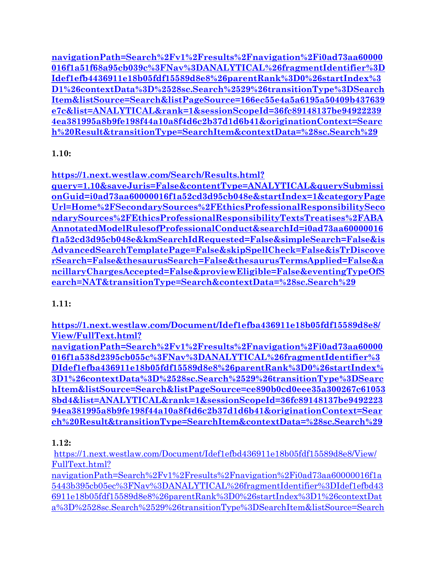**[navigationPath=Search%2Fv1%2Fresults%2Fnavigation%2Fi0ad73aa60000](https://1.next.westlaw.com/Document/Idef1efb4436911e18b05fdf15589d8e8/View/FullText.html?navigationPath=Search%252Fv1%252Fresults%252Fnavigation%252Fi0ad73aa60000016f1a51f68a95cb039c%253FNav%253DANALYTICAL%2526fragmentIdentifier%253DIdef1efb4436911e18b05fdf15589d8e8%2526parentRank%253D0%2526startIndex%253D1%2526contextData%253D%252528sc.Search%252529%2526transitionType%253DSearchItem&listSource=Search&listPageSource=166ec55e4a5a6195a50409b437639e7c&list=ANALYTICAL&rank=1&sessionScopeId=36fc89148137be949222394ea381995a8b9fe198f44a10a8f4d6c2b37d1d6b41&originationContext=Search%2520Result&transitionType=SearchItem&contextData=%2528sc.Search%2529) [016f1a51f68a95cb039c%3FNav%3DANALYTICAL%26fragmentIdentifier%3D](https://1.next.westlaw.com/Document/Idef1efb4436911e18b05fdf15589d8e8/View/FullText.html?navigationPath=Search%252Fv1%252Fresults%252Fnavigation%252Fi0ad73aa60000016f1a51f68a95cb039c%253FNav%253DANALYTICAL%2526fragmentIdentifier%253DIdef1efb4436911e18b05fdf15589d8e8%2526parentRank%253D0%2526startIndex%253D1%2526contextData%253D%252528sc.Search%252529%2526transitionType%253DSearchItem&listSource=Search&listPageSource=166ec55e4a5a6195a50409b437639e7c&list=ANALYTICAL&rank=1&sessionScopeId=36fc89148137be949222394ea381995a8b9fe198f44a10a8f4d6c2b37d1d6b41&originationContext=Search%2520Result&transitionType=SearchItem&contextData=%2528sc.Search%2529) [Idef1efb4436911e18b05fdf15589d8e8%26parentRank%3D0%26startIndex%3](https://1.next.westlaw.com/Document/Idef1efb4436911e18b05fdf15589d8e8/View/FullText.html?navigationPath=Search%252Fv1%252Fresults%252Fnavigation%252Fi0ad73aa60000016f1a51f68a95cb039c%253FNav%253DANALYTICAL%2526fragmentIdentifier%253DIdef1efb4436911e18b05fdf15589d8e8%2526parentRank%253D0%2526startIndex%253D1%2526contextData%253D%252528sc.Search%252529%2526transitionType%253DSearchItem&listSource=Search&listPageSource=166ec55e4a5a6195a50409b437639e7c&list=ANALYTICAL&rank=1&sessionScopeId=36fc89148137be949222394ea381995a8b9fe198f44a10a8f4d6c2b37d1d6b41&originationContext=Search%2520Result&transitionType=SearchItem&contextData=%2528sc.Search%2529) [D1%26contextData%3D%2528sc.Search%2529%26transitionType%3DSearch](https://1.next.westlaw.com/Document/Idef1efb4436911e18b05fdf15589d8e8/View/FullText.html?navigationPath=Search%252Fv1%252Fresults%252Fnavigation%252Fi0ad73aa60000016f1a51f68a95cb039c%253FNav%253DANALYTICAL%2526fragmentIdentifier%253DIdef1efb4436911e18b05fdf15589d8e8%2526parentRank%253D0%2526startIndex%253D1%2526contextData%253D%252528sc.Search%252529%2526transitionType%253DSearchItem&listSource=Search&listPageSource=166ec55e4a5a6195a50409b437639e7c&list=ANALYTICAL&rank=1&sessionScopeId=36fc89148137be949222394ea381995a8b9fe198f44a10a8f4d6c2b37d1d6b41&originationContext=Search%2520Result&transitionType=SearchItem&contextData=%2528sc.Search%2529) [Item&listSource=Search&listPageSource=166ec55e4a5a6195a50409b437639](https://1.next.westlaw.com/Document/Idef1efb4436911e18b05fdf15589d8e8/View/FullText.html?navigationPath=Search%252Fv1%252Fresults%252Fnavigation%252Fi0ad73aa60000016f1a51f68a95cb039c%253FNav%253DANALYTICAL%2526fragmentIdentifier%253DIdef1efb4436911e18b05fdf15589d8e8%2526parentRank%253D0%2526startIndex%253D1%2526contextData%253D%252528sc.Search%252529%2526transitionType%253DSearchItem&listSource=Search&listPageSource=166ec55e4a5a6195a50409b437639e7c&list=ANALYTICAL&rank=1&sessionScopeId=36fc89148137be949222394ea381995a8b9fe198f44a10a8f4d6c2b37d1d6b41&originationContext=Search%2520Result&transitionType=SearchItem&contextData=%2528sc.Search%2529) [e7c&list=ANALYTICAL&rank=1&sessionScopeId=36fc89148137be94922239](https://1.next.westlaw.com/Document/Idef1efb4436911e18b05fdf15589d8e8/View/FullText.html?navigationPath=Search%252Fv1%252Fresults%252Fnavigation%252Fi0ad73aa60000016f1a51f68a95cb039c%253FNav%253DANALYTICAL%2526fragmentIdentifier%253DIdef1efb4436911e18b05fdf15589d8e8%2526parentRank%253D0%2526startIndex%253D1%2526contextData%253D%252528sc.Search%252529%2526transitionType%253DSearchItem&listSource=Search&listPageSource=166ec55e4a5a6195a50409b437639e7c&list=ANALYTICAL&rank=1&sessionScopeId=36fc89148137be949222394ea381995a8b9fe198f44a10a8f4d6c2b37d1d6b41&originationContext=Search%2520Result&transitionType=SearchItem&contextData=%2528sc.Search%2529) [4ea381995a8b9fe198f44a10a8f4d6c2b37d1d6b41&originationContext=Searc](https://1.next.westlaw.com/Document/Idef1efb4436911e18b05fdf15589d8e8/View/FullText.html?navigationPath=Search%252Fv1%252Fresults%252Fnavigation%252Fi0ad73aa60000016f1a51f68a95cb039c%253FNav%253DANALYTICAL%2526fragmentIdentifier%253DIdef1efb4436911e18b05fdf15589d8e8%2526parentRank%253D0%2526startIndex%253D1%2526contextData%253D%252528sc.Search%252529%2526transitionType%253DSearchItem&listSource=Search&listPageSource=166ec55e4a5a6195a50409b437639e7c&list=ANALYTICAL&rank=1&sessionScopeId=36fc89148137be949222394ea381995a8b9fe198f44a10a8f4d6c2b37d1d6b41&originationContext=Search%2520Result&transitionType=SearchItem&contextData=%2528sc.Search%2529) [h%20Result&transitionType=SearchItem&contextData=%28sc.Search%29](https://1.next.westlaw.com/Document/Idef1efb4436911e18b05fdf15589d8e8/View/FullText.html?navigationPath=Search%252Fv1%252Fresults%252Fnavigation%252Fi0ad73aa60000016f1a51f68a95cb039c%253FNav%253DANALYTICAL%2526fragmentIdentifier%253DIdef1efb4436911e18b05fdf15589d8e8%2526parentRank%253D0%2526startIndex%253D1%2526contextData%253D%252528sc.Search%252529%2526transitionType%253DSearchItem&listSource=Search&listPageSource=166ec55e4a5a6195a50409b437639e7c&list=ANALYTICAL&rank=1&sessionScopeId=36fc89148137be949222394ea381995a8b9fe198f44a10a8f4d6c2b37d1d6b41&originationContext=Search%2520Result&transitionType=SearchItem&contextData=%2528sc.Search%2529)**

#### **1.10:**

**[https://1.next.westlaw.com/Search/Results.html?](https://1.next.westlaw.com/Search/Results.html?query=1.10&saveJuris=False&contentType=ANALYTICAL&querySubmissionGuid=i0ad73aa60000016f1a52cd3d95cb048e&startIndex=1&categoryPageUrl=Home%252FSecondarySources%252FEthicsProfessionalResponsibilitySecondarySources%252FEthicsProfessionalResponsibilityTextsTreatises%252FABAAnnotatedModelRulesofProfessionalConduct&searchId=i0ad73aa60000016f1a52cd3d95cb048e&kmSearchIdRequested=False&simpleSearch=False&isAdvancedSearchTemplatePage=False&skipSpellCheck=False&isTrDiscoverSearch=False&thesaurusSearch=False&thesaurusTermsApplied=False&ancillaryChargesAccepted=False&proviewEligible=False&eventingTypeOfSearch=NAT&transitionType=Search&contextData=%2528sc.Search%2529)**

**[query=1.10&saveJuris=False&contentType=ANALYTICAL&querySubmissi](https://1.next.westlaw.com/Search/Results.html?query=1.10&saveJuris=False&contentType=ANALYTICAL&querySubmissionGuid=i0ad73aa60000016f1a52cd3d95cb048e&startIndex=1&categoryPageUrl=Home%252FSecondarySources%252FEthicsProfessionalResponsibilitySecondarySources%252FEthicsProfessionalResponsibilityTextsTreatises%252FABAAnnotatedModelRulesofProfessionalConduct&searchId=i0ad73aa60000016f1a52cd3d95cb048e&kmSearchIdRequested=False&simpleSearch=False&isAdvancedSearchTemplatePage=False&skipSpellCheck=False&isTrDiscoverSearch=False&thesaurusSearch=False&thesaurusTermsApplied=False&ancillaryChargesAccepted=False&proviewEligible=False&eventingTypeOfSearch=NAT&transitionType=Search&contextData=%2528sc.Search%2529) [onGuid=i0ad73aa60000016f1a52cd3d95cb048e&startIndex=1&categoryPage](https://1.next.westlaw.com/Search/Results.html?query=1.10&saveJuris=False&contentType=ANALYTICAL&querySubmissionGuid=i0ad73aa60000016f1a52cd3d95cb048e&startIndex=1&categoryPageUrl=Home%252FSecondarySources%252FEthicsProfessionalResponsibilitySecondarySources%252FEthicsProfessionalResponsibilityTextsTreatises%252FABAAnnotatedModelRulesofProfessionalConduct&searchId=i0ad73aa60000016f1a52cd3d95cb048e&kmSearchIdRequested=False&simpleSearch=False&isAdvancedSearchTemplatePage=False&skipSpellCheck=False&isTrDiscoverSearch=False&thesaurusSearch=False&thesaurusTermsApplied=False&ancillaryChargesAccepted=False&proviewEligible=False&eventingTypeOfSearch=NAT&transitionType=Search&contextData=%2528sc.Search%2529) [Url=Home%2FSecondarySources%2FEthicsProfessionalResponsibilitySeco](https://1.next.westlaw.com/Search/Results.html?query=1.10&saveJuris=False&contentType=ANALYTICAL&querySubmissionGuid=i0ad73aa60000016f1a52cd3d95cb048e&startIndex=1&categoryPageUrl=Home%252FSecondarySources%252FEthicsProfessionalResponsibilitySecondarySources%252FEthicsProfessionalResponsibilityTextsTreatises%252FABAAnnotatedModelRulesofProfessionalConduct&searchId=i0ad73aa60000016f1a52cd3d95cb048e&kmSearchIdRequested=False&simpleSearch=False&isAdvancedSearchTemplatePage=False&skipSpellCheck=False&isTrDiscoverSearch=False&thesaurusSearch=False&thesaurusTermsApplied=False&ancillaryChargesAccepted=False&proviewEligible=False&eventingTypeOfSearch=NAT&transitionType=Search&contextData=%2528sc.Search%2529) [ndarySources%2FEthicsProfessionalResponsibilityTextsTreatises%2FABA](https://1.next.westlaw.com/Search/Results.html?query=1.10&saveJuris=False&contentType=ANALYTICAL&querySubmissionGuid=i0ad73aa60000016f1a52cd3d95cb048e&startIndex=1&categoryPageUrl=Home%252FSecondarySources%252FEthicsProfessionalResponsibilitySecondarySources%252FEthicsProfessionalResponsibilityTextsTreatises%252FABAAnnotatedModelRulesofProfessionalConduct&searchId=i0ad73aa60000016f1a52cd3d95cb048e&kmSearchIdRequested=False&simpleSearch=False&isAdvancedSearchTemplatePage=False&skipSpellCheck=False&isTrDiscoverSearch=False&thesaurusSearch=False&thesaurusTermsApplied=False&ancillaryChargesAccepted=False&proviewEligible=False&eventingTypeOfSearch=NAT&transitionType=Search&contextData=%2528sc.Search%2529) [AnnotatedModelRulesofProfessionalConduct&searchId=i0ad73aa60000016](https://1.next.westlaw.com/Search/Results.html?query=1.10&saveJuris=False&contentType=ANALYTICAL&querySubmissionGuid=i0ad73aa60000016f1a52cd3d95cb048e&startIndex=1&categoryPageUrl=Home%252FSecondarySources%252FEthicsProfessionalResponsibilitySecondarySources%252FEthicsProfessionalResponsibilityTextsTreatises%252FABAAnnotatedModelRulesofProfessionalConduct&searchId=i0ad73aa60000016f1a52cd3d95cb048e&kmSearchIdRequested=False&simpleSearch=False&isAdvancedSearchTemplatePage=False&skipSpellCheck=False&isTrDiscoverSearch=False&thesaurusSearch=False&thesaurusTermsApplied=False&ancillaryChargesAccepted=False&proviewEligible=False&eventingTypeOfSearch=NAT&transitionType=Search&contextData=%2528sc.Search%2529) [f1a52cd3d95cb048e&kmSearchIdRequested=False&simpleSearch=False&is](https://1.next.westlaw.com/Search/Results.html?query=1.10&saveJuris=False&contentType=ANALYTICAL&querySubmissionGuid=i0ad73aa60000016f1a52cd3d95cb048e&startIndex=1&categoryPageUrl=Home%252FSecondarySources%252FEthicsProfessionalResponsibilitySecondarySources%252FEthicsProfessionalResponsibilityTextsTreatises%252FABAAnnotatedModelRulesofProfessionalConduct&searchId=i0ad73aa60000016f1a52cd3d95cb048e&kmSearchIdRequested=False&simpleSearch=False&isAdvancedSearchTemplatePage=False&skipSpellCheck=False&isTrDiscoverSearch=False&thesaurusSearch=False&thesaurusTermsApplied=False&ancillaryChargesAccepted=False&proviewEligible=False&eventingTypeOfSearch=NAT&transitionType=Search&contextData=%2528sc.Search%2529) [AdvancedSearchTemplatePage=False&skipSpellCheck=False&isTrDiscove](https://1.next.westlaw.com/Search/Results.html?query=1.10&saveJuris=False&contentType=ANALYTICAL&querySubmissionGuid=i0ad73aa60000016f1a52cd3d95cb048e&startIndex=1&categoryPageUrl=Home%252FSecondarySources%252FEthicsProfessionalResponsibilitySecondarySources%252FEthicsProfessionalResponsibilityTextsTreatises%252FABAAnnotatedModelRulesofProfessionalConduct&searchId=i0ad73aa60000016f1a52cd3d95cb048e&kmSearchIdRequested=False&simpleSearch=False&isAdvancedSearchTemplatePage=False&skipSpellCheck=False&isTrDiscoverSearch=False&thesaurusSearch=False&thesaurusTermsApplied=False&ancillaryChargesAccepted=False&proviewEligible=False&eventingTypeOfSearch=NAT&transitionType=Search&contextData=%2528sc.Search%2529) [rSearch=False&thesaurusSearch=False&thesaurusTermsApplied=False&a](https://1.next.westlaw.com/Search/Results.html?query=1.10&saveJuris=False&contentType=ANALYTICAL&querySubmissionGuid=i0ad73aa60000016f1a52cd3d95cb048e&startIndex=1&categoryPageUrl=Home%252FSecondarySources%252FEthicsProfessionalResponsibilitySecondarySources%252FEthicsProfessionalResponsibilityTextsTreatises%252FABAAnnotatedModelRulesofProfessionalConduct&searchId=i0ad73aa60000016f1a52cd3d95cb048e&kmSearchIdRequested=False&simpleSearch=False&isAdvancedSearchTemplatePage=False&skipSpellCheck=False&isTrDiscoverSearch=False&thesaurusSearch=False&thesaurusTermsApplied=False&ancillaryChargesAccepted=False&proviewEligible=False&eventingTypeOfSearch=NAT&transitionType=Search&contextData=%2528sc.Search%2529) [ncillaryChargesAccepted=False&proviewEligible=False&eventingTypeOfS](https://1.next.westlaw.com/Search/Results.html?query=1.10&saveJuris=False&contentType=ANALYTICAL&querySubmissionGuid=i0ad73aa60000016f1a52cd3d95cb048e&startIndex=1&categoryPageUrl=Home%252FSecondarySources%252FEthicsProfessionalResponsibilitySecondarySources%252FEthicsProfessionalResponsibilityTextsTreatises%252FABAAnnotatedModelRulesofProfessionalConduct&searchId=i0ad73aa60000016f1a52cd3d95cb048e&kmSearchIdRequested=False&simpleSearch=False&isAdvancedSearchTemplatePage=False&skipSpellCheck=False&isTrDiscoverSearch=False&thesaurusSearch=False&thesaurusTermsApplied=False&ancillaryChargesAccepted=False&proviewEligible=False&eventingTypeOfSearch=NAT&transitionType=Search&contextData=%2528sc.Search%2529) [earch=NAT&transitionType=Search&contextData=%28sc.Search%29](https://1.next.westlaw.com/Search/Results.html?query=1.10&saveJuris=False&contentType=ANALYTICAL&querySubmissionGuid=i0ad73aa60000016f1a52cd3d95cb048e&startIndex=1&categoryPageUrl=Home%252FSecondarySources%252FEthicsProfessionalResponsibilitySecondarySources%252FEthicsProfessionalResponsibilityTextsTreatises%252FABAAnnotatedModelRulesofProfessionalConduct&searchId=i0ad73aa60000016f1a52cd3d95cb048e&kmSearchIdRequested=False&simpleSearch=False&isAdvancedSearchTemplatePage=False&skipSpellCheck=False&isTrDiscoverSearch=False&thesaurusSearch=False&thesaurusTermsApplied=False&ancillaryChargesAccepted=False&proviewEligible=False&eventingTypeOfSearch=NAT&transitionType=Search&contextData=%2528sc.Search%2529)**

# **1.11:**

**[https://1.next.westlaw.com/Document/Idef1efba436911e18b05fdf15589d8e8/](https://1.next.westlaw.com/Document/Idef1efba436911e18b05fdf15589d8e8/View/FullText.html?navigationPath=Search%252Fv1%252Fresults%252Fnavigation%252Fi0ad73aa60000016f1a538d2395cb055c%253FNav%253DANALYTICAL%2526fragmentIdentifier%253DIdef1efba436911e18b05fdf15589d8e8%2526parentRank%253D0%2526startIndex%253D1%2526contextData%253D%252528sc.Search%252529%2526transitionType%253DSearchItem&listSource=Search&listPageSource=ce890b0cd0eee35a300267c610538bd4&list=ANALYTICAL&rank=1&sessionScopeId=36fc89148137be949222394ea381995a8b9fe198f44a10a8f4d6c2b37d1d6b41&originationContext=Search%2520Result&transitionType=SearchItem&contextData=%2528sc.Search%2529) [View/FullText.html?](https://1.next.westlaw.com/Document/Idef1efba436911e18b05fdf15589d8e8/View/FullText.html?navigationPath=Search%252Fv1%252Fresults%252Fnavigation%252Fi0ad73aa60000016f1a538d2395cb055c%253FNav%253DANALYTICAL%2526fragmentIdentifier%253DIdef1efba436911e18b05fdf15589d8e8%2526parentRank%253D0%2526startIndex%253D1%2526contextData%253D%252528sc.Search%252529%2526transitionType%253DSearchItem&listSource=Search&listPageSource=ce890b0cd0eee35a300267c610538bd4&list=ANALYTICAL&rank=1&sessionScopeId=36fc89148137be949222394ea381995a8b9fe198f44a10a8f4d6c2b37d1d6b41&originationContext=Search%2520Result&transitionType=SearchItem&contextData=%2528sc.Search%2529)**

**[navigationPath=Search%2Fv1%2Fresults%2Fnavigation%2Fi0ad73aa60000](https://1.next.westlaw.com/Document/Idef1efba436911e18b05fdf15589d8e8/View/FullText.html?navigationPath=Search%252Fv1%252Fresults%252Fnavigation%252Fi0ad73aa60000016f1a538d2395cb055c%253FNav%253DANALYTICAL%2526fragmentIdentifier%253DIdef1efba436911e18b05fdf15589d8e8%2526parentRank%253D0%2526startIndex%253D1%2526contextData%253D%252528sc.Search%252529%2526transitionType%253DSearchItem&listSource=Search&listPageSource=ce890b0cd0eee35a300267c610538bd4&list=ANALYTICAL&rank=1&sessionScopeId=36fc89148137be949222394ea381995a8b9fe198f44a10a8f4d6c2b37d1d6b41&originationContext=Search%2520Result&transitionType=SearchItem&contextData=%2528sc.Search%2529) [016f1a538d2395cb055c%3FNav%3DANALYTICAL%26fragmentIdentifier%3](https://1.next.westlaw.com/Document/Idef1efba436911e18b05fdf15589d8e8/View/FullText.html?navigationPath=Search%252Fv1%252Fresults%252Fnavigation%252Fi0ad73aa60000016f1a538d2395cb055c%253FNav%253DANALYTICAL%2526fragmentIdentifier%253DIdef1efba436911e18b05fdf15589d8e8%2526parentRank%253D0%2526startIndex%253D1%2526contextData%253D%252528sc.Search%252529%2526transitionType%253DSearchItem&listSource=Search&listPageSource=ce890b0cd0eee35a300267c610538bd4&list=ANALYTICAL&rank=1&sessionScopeId=36fc89148137be949222394ea381995a8b9fe198f44a10a8f4d6c2b37d1d6b41&originationContext=Search%2520Result&transitionType=SearchItem&contextData=%2528sc.Search%2529) [DIdef1efba436911e18b05fdf15589d8e8%26parentRank%3D0%26startIndex%](https://1.next.westlaw.com/Document/Idef1efba436911e18b05fdf15589d8e8/View/FullText.html?navigationPath=Search%252Fv1%252Fresults%252Fnavigation%252Fi0ad73aa60000016f1a538d2395cb055c%253FNav%253DANALYTICAL%2526fragmentIdentifier%253DIdef1efba436911e18b05fdf15589d8e8%2526parentRank%253D0%2526startIndex%253D1%2526contextData%253D%252528sc.Search%252529%2526transitionType%253DSearchItem&listSource=Search&listPageSource=ce890b0cd0eee35a300267c610538bd4&list=ANALYTICAL&rank=1&sessionScopeId=36fc89148137be949222394ea381995a8b9fe198f44a10a8f4d6c2b37d1d6b41&originationContext=Search%2520Result&transitionType=SearchItem&contextData=%2528sc.Search%2529) [3D1%26contextData%3D%2528sc.Search%2529%26transitionType%3DSearc](https://1.next.westlaw.com/Document/Idef1efba436911e18b05fdf15589d8e8/View/FullText.html?navigationPath=Search%252Fv1%252Fresults%252Fnavigation%252Fi0ad73aa60000016f1a538d2395cb055c%253FNav%253DANALYTICAL%2526fragmentIdentifier%253DIdef1efba436911e18b05fdf15589d8e8%2526parentRank%253D0%2526startIndex%253D1%2526contextData%253D%252528sc.Search%252529%2526transitionType%253DSearchItem&listSource=Search&listPageSource=ce890b0cd0eee35a300267c610538bd4&list=ANALYTICAL&rank=1&sessionScopeId=36fc89148137be949222394ea381995a8b9fe198f44a10a8f4d6c2b37d1d6b41&originationContext=Search%2520Result&transitionType=SearchItem&contextData=%2528sc.Search%2529) [hItem&listSource=Search&listPageSource=ce890b0cd0eee35a300267c61053](https://1.next.westlaw.com/Document/Idef1efba436911e18b05fdf15589d8e8/View/FullText.html?navigationPath=Search%252Fv1%252Fresults%252Fnavigation%252Fi0ad73aa60000016f1a538d2395cb055c%253FNav%253DANALYTICAL%2526fragmentIdentifier%253DIdef1efba436911e18b05fdf15589d8e8%2526parentRank%253D0%2526startIndex%253D1%2526contextData%253D%252528sc.Search%252529%2526transitionType%253DSearchItem&listSource=Search&listPageSource=ce890b0cd0eee35a300267c610538bd4&list=ANALYTICAL&rank=1&sessionScopeId=36fc89148137be949222394ea381995a8b9fe198f44a10a8f4d6c2b37d1d6b41&originationContext=Search%2520Result&transitionType=SearchItem&contextData=%2528sc.Search%2529) [8bd4&list=ANALYTICAL&rank=1&sessionScopeId=36fc89148137be9492223](https://1.next.westlaw.com/Document/Idef1efba436911e18b05fdf15589d8e8/View/FullText.html?navigationPath=Search%252Fv1%252Fresults%252Fnavigation%252Fi0ad73aa60000016f1a538d2395cb055c%253FNav%253DANALYTICAL%2526fragmentIdentifier%253DIdef1efba436911e18b05fdf15589d8e8%2526parentRank%253D0%2526startIndex%253D1%2526contextData%253D%252528sc.Search%252529%2526transitionType%253DSearchItem&listSource=Search&listPageSource=ce890b0cd0eee35a300267c610538bd4&list=ANALYTICAL&rank=1&sessionScopeId=36fc89148137be949222394ea381995a8b9fe198f44a10a8f4d6c2b37d1d6b41&originationContext=Search%2520Result&transitionType=SearchItem&contextData=%2528sc.Search%2529) [94ea381995a8b9fe198f44a10a8f4d6c2b37d1d6b41&originationContext=Sear](https://1.next.westlaw.com/Document/Idef1efba436911e18b05fdf15589d8e8/View/FullText.html?navigationPath=Search%252Fv1%252Fresults%252Fnavigation%252Fi0ad73aa60000016f1a538d2395cb055c%253FNav%253DANALYTICAL%2526fragmentIdentifier%253DIdef1efba436911e18b05fdf15589d8e8%2526parentRank%253D0%2526startIndex%253D1%2526contextData%253D%252528sc.Search%252529%2526transitionType%253DSearchItem&listSource=Search&listPageSource=ce890b0cd0eee35a300267c610538bd4&list=ANALYTICAL&rank=1&sessionScopeId=36fc89148137be949222394ea381995a8b9fe198f44a10a8f4d6c2b37d1d6b41&originationContext=Search%2520Result&transitionType=SearchItem&contextData=%2528sc.Search%2529) [ch%20Result&transitionType=SearchItem&contextData=%28sc.Search%29](https://1.next.westlaw.com/Document/Idef1efba436911e18b05fdf15589d8e8/View/FullText.html?navigationPath=Search%252Fv1%252Fresults%252Fnavigation%252Fi0ad73aa60000016f1a538d2395cb055c%253FNav%253DANALYTICAL%2526fragmentIdentifier%253DIdef1efba436911e18b05fdf15589d8e8%2526parentRank%253D0%2526startIndex%253D1%2526contextData%253D%252528sc.Search%252529%2526transitionType%253DSearchItem&listSource=Search&listPageSource=ce890b0cd0eee35a300267c610538bd4&list=ANALYTICAL&rank=1&sessionScopeId=36fc89148137be949222394ea381995a8b9fe198f44a10a8f4d6c2b37d1d6b41&originationContext=Search%2520Result&transitionType=SearchItem&contextData=%2528sc.Search%2529)**

# **1.12:**

[https://1.next.westlaw.com/Document/Idef1efbd436911e18b05fdf15589d8e8/View/](https://1.next.westlaw.com/Document/Idef1efbd436911e18b05fdf15589d8e8/View/FullText.html?navigationPath=Search%252Fv1%252Fresults%252Fnavigation%252Fi0ad73aa60000016f1a5443b395cb05ec%253FNav%253DANALYTICAL%2526fragmentIdentifier%253DIdef1efbd436911e18b05fdf15589d8e8%2526parentRank%253D0%2526startIndex%253D1%2526contextData%253D%252528sc.Search%252529%2526transitionType%253DSearchItem&listSource=Search&listPageSource=18f38472764560f36ef907915ce1db2e&list=ANALYTICAL&rank=1&sessionScopeId=36fc89148137be949222394ea381995a8b9fe198f44a10a8f4d6c2b37d1d6b41&originationContext=Search%2520Result&transitionType=SearchItem&contextData=%2528sc.Search%2529) [FullText.html?](https://1.next.westlaw.com/Document/Idef1efbd436911e18b05fdf15589d8e8/View/FullText.html?navigationPath=Search%252Fv1%252Fresults%252Fnavigation%252Fi0ad73aa60000016f1a5443b395cb05ec%253FNav%253DANALYTICAL%2526fragmentIdentifier%253DIdef1efbd436911e18b05fdf15589d8e8%2526parentRank%253D0%2526startIndex%253D1%2526contextData%253D%252528sc.Search%252529%2526transitionType%253DSearchItem&listSource=Search&listPageSource=18f38472764560f36ef907915ce1db2e&list=ANALYTICAL&rank=1&sessionScopeId=36fc89148137be949222394ea381995a8b9fe198f44a10a8f4d6c2b37d1d6b41&originationContext=Search%2520Result&transitionType=SearchItem&contextData=%2528sc.Search%2529)

[navigationPath=Search%2Fv1%2Fresults%2Fnavigation%2Fi0ad73aa60000016f1a](https://1.next.westlaw.com/Document/Idef1efbd436911e18b05fdf15589d8e8/View/FullText.html?navigationPath=Search%252Fv1%252Fresults%252Fnavigation%252Fi0ad73aa60000016f1a5443b395cb05ec%253FNav%253DANALYTICAL%2526fragmentIdentifier%253DIdef1efbd436911e18b05fdf15589d8e8%2526parentRank%253D0%2526startIndex%253D1%2526contextData%253D%252528sc.Search%252529%2526transitionType%253DSearchItem&listSource=Search&listPageSource=18f38472764560f36ef907915ce1db2e&list=ANALYTICAL&rank=1&sessionScopeId=36fc89148137be949222394ea381995a8b9fe198f44a10a8f4d6c2b37d1d6b41&originationContext=Search%2520Result&transitionType=SearchItem&contextData=%2528sc.Search%2529) [5443b395cb05ec%3FNav%3DANALYTICAL%26fragmentIdentifier%3DIdef1efbd43](https://1.next.westlaw.com/Document/Idef1efbd436911e18b05fdf15589d8e8/View/FullText.html?navigationPath=Search%252Fv1%252Fresults%252Fnavigation%252Fi0ad73aa60000016f1a5443b395cb05ec%253FNav%253DANALYTICAL%2526fragmentIdentifier%253DIdef1efbd436911e18b05fdf15589d8e8%2526parentRank%253D0%2526startIndex%253D1%2526contextData%253D%252528sc.Search%252529%2526transitionType%253DSearchItem&listSource=Search&listPageSource=18f38472764560f36ef907915ce1db2e&list=ANALYTICAL&rank=1&sessionScopeId=36fc89148137be949222394ea381995a8b9fe198f44a10a8f4d6c2b37d1d6b41&originationContext=Search%2520Result&transitionType=SearchItem&contextData=%2528sc.Search%2529) [6911e18b05fdf15589d8e8%26parentRank%3D0%26startIndex%3D1%26contextDat](https://1.next.westlaw.com/Document/Idef1efbd436911e18b05fdf15589d8e8/View/FullText.html?navigationPath=Search%252Fv1%252Fresults%252Fnavigation%252Fi0ad73aa60000016f1a5443b395cb05ec%253FNav%253DANALYTICAL%2526fragmentIdentifier%253DIdef1efbd436911e18b05fdf15589d8e8%2526parentRank%253D0%2526startIndex%253D1%2526contextData%253D%252528sc.Search%252529%2526transitionType%253DSearchItem&listSource=Search&listPageSource=18f38472764560f36ef907915ce1db2e&list=ANALYTICAL&rank=1&sessionScopeId=36fc89148137be949222394ea381995a8b9fe198f44a10a8f4d6c2b37d1d6b41&originationContext=Search%2520Result&transitionType=SearchItem&contextData=%2528sc.Search%2529) [a%3D%2528sc.Search%2529%26transitionType%3DSearchItem&listSource=Search](https://1.next.westlaw.com/Document/Idef1efbd436911e18b05fdf15589d8e8/View/FullText.html?navigationPath=Search%252Fv1%252Fresults%252Fnavigation%252Fi0ad73aa60000016f1a5443b395cb05ec%253FNav%253DANALYTICAL%2526fragmentIdentifier%253DIdef1efbd436911e18b05fdf15589d8e8%2526parentRank%253D0%2526startIndex%253D1%2526contextData%253D%252528sc.Search%252529%2526transitionType%253DSearchItem&listSource=Search&listPageSource=18f38472764560f36ef907915ce1db2e&list=ANALYTICAL&rank=1&sessionScopeId=36fc89148137be949222394ea381995a8b9fe198f44a10a8f4d6c2b37d1d6b41&originationContext=Search%2520Result&transitionType=SearchItem&contextData=%2528sc.Search%2529)